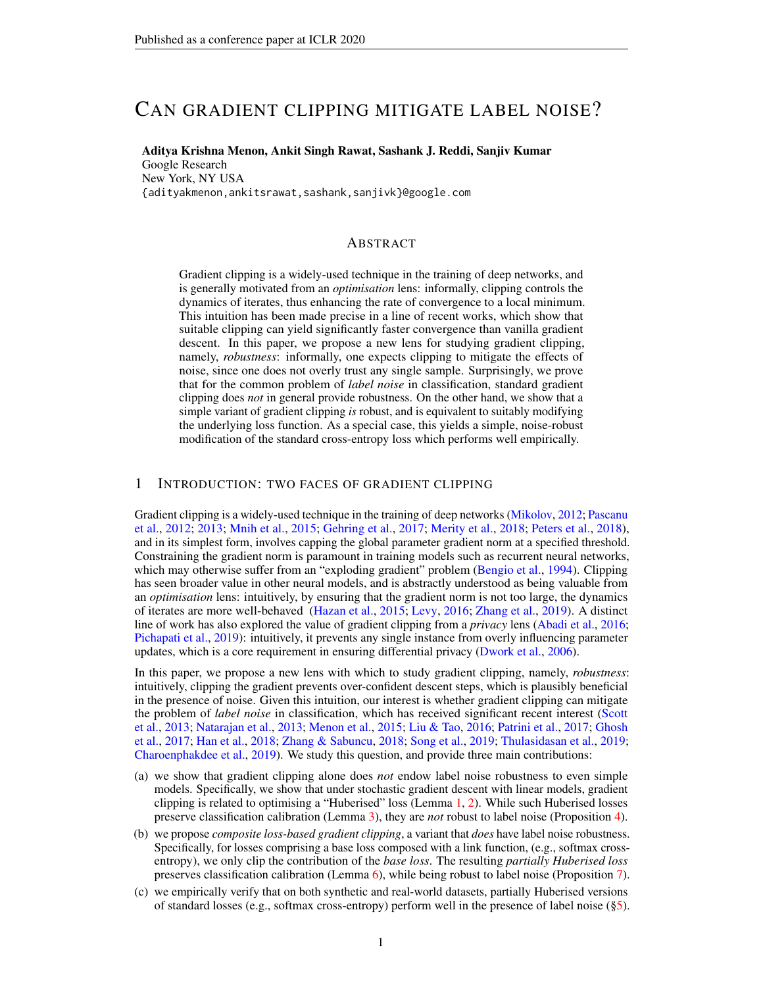# CAN GRADIENT CLIPPING MITIGATE LABEL NOISE?

Aditya Krishna Menon, Ankit Singh Rawat, Sashank J. Reddi, Sanjiv Kumar Google Research New York, NY USA {adityakmenon,ankitsrawat,sashank,sanjivk}@google.com

#### ABSTRACT

Gradient clipping is a widely-used technique in the training of deep networks, and is generally motivated from an *optimisation* lens: informally, clipping controls the dynamics of iterates, thus enhancing the rate of convergence to a local minimum. This intuition has been made precise in a line of recent works, which show that suitable clipping can yield significantly faster convergence than vanilla gradient descent. In this paper, we propose a new lens for studying gradient clipping, namely, *robustness*: informally, one expects clipping to mitigate the effects of noise, since one does not overly trust any single sample. Surprisingly, we prove that for the common problem of *label noise* in classification, standard gradient clipping does *not* in general provide robustness. On the other hand, we show that a simple variant of gradient clipping *is* robust, and is equivalent to suitably modifying the underlying loss function. As a special case, this yields a simple, noise-robust modification of the standard cross-entropy loss which performs well empirically.

#### 1 INTRODUCTION: TWO FACES OF GRADIENT CLIPPING

Gradient clipping is a widely-used technique in the training of deep networks [\(Mikolov,](#page-11-0) [2012;](#page-11-0) [Pascanu](#page-12-0) [et al.,](#page-12-0) [2012;](#page-12-0) [2013;](#page-12-1) [Mnih et al.,](#page-11-1) [2015;](#page-11-1) [Gehring et al.,](#page-9-0) [2017;](#page-9-0) [Merity et al.,](#page-11-2) [2018;](#page-11-2) [Peters et al.,](#page-12-2) [2018\)](#page-12-2), and in its simplest form, involves capping the global parameter gradient norm at a specified threshold. Constraining the gradient norm is paramount in training models such as recurrent neural networks, which may otherwise suffer from an "exploding gradient" problem [\(Bengio et al.,](#page-9-1) [1994\)](#page-9-1). Clipping has seen broader value in other neural models, and is abstractly understood as being valuable from an *optimisation* lens: intuitively, by ensuring that the gradient norm is not too large, the dynamics of iterates are more well-behaved [\(Hazan et al.,](#page-10-0) [2015;](#page-10-0) [Levy,](#page-10-1) [2016;](#page-10-1) [Zhang et al.,](#page-13-0) [2019\)](#page-13-0). A distinct line of work has also explored the value of gradient clipping from a *privacy* lens [\(Abadi et al.,](#page-8-0) [2016;](#page-8-0) [Pichapati et al.,](#page-12-3) [2019\)](#page-12-3): intuitively, it prevents any single instance from overly influencing parameter updates, which is a core requirement in ensuring differential privacy [\(Dwork et al.,](#page-9-2) [2006\)](#page-9-2).

In this paper, we propose a new lens with which to study gradient clipping, namely, *robustness*: intuitively, clipping the gradient prevents over-confident descent steps, which is plausibly beneficial in the presence of noise. Given this intuition, our interest is whether gradient clipping can mitigate the problem of *label noise* in classification, which has received significant recent interest [\(Scott](#page-12-4) [et al.,](#page-12-4) [2013;](#page-12-4) [Natarajan et al.,](#page-11-3) [2013;](#page-11-3) [Menon et al.,](#page-11-4) [2015;](#page-11-4) [Liu & Tao,](#page-11-5) [2016;](#page-11-5) [Patrini et al.,](#page-12-5) [2017;](#page-12-5) [Ghosh](#page-10-2) [et al.,](#page-10-2) [2017;](#page-10-2) [Han et al.,](#page-10-3) [2018;](#page-10-3) [Zhang & Sabuncu,](#page-13-1) [2018;](#page-13-1) [Song et al.,](#page-13-2) [2019;](#page-13-2) [Thulasidasan et al.,](#page-13-3) [2019;](#page-13-3) [Charoenphakdee et al.,](#page-9-3) [2019\)](#page-9-3). We study this question, and provide three main contributions:

- (a) we show that gradient clipping alone does *not* endow label noise robustness to even simple models. Specifically, we show that under stochastic gradient descent with linear models, gradient clipping is related to optimising a "Huberised" loss (Lemma [1,](#page-2-0) [2\)](#page-3-0). While such Huberised losses preserve classification calibration (Lemma [3\)](#page-3-1), they are *not* robust to label noise (Proposition [4\)](#page-4-0).
- (b) we propose *composite loss-based gradient clipping*, a variant that *does* have label noise robustness. Specifically, for losses comprising a base loss composed with a link function, (e.g., softmax crossentropy), we only clip the contribution of the *base loss*. The resulting *partially Huberised loss* preserves classification calibration (Lemma [6\)](#page-5-0), while being robust to label noise (Proposition [7\)](#page-5-1).
- (c) we empirically verify that on both synthetic and real-world datasets, partially Huberised versions of standard losses (e.g., softmax cross-entropy) perform well in the presence of label noise ([§5\)](#page-6-0).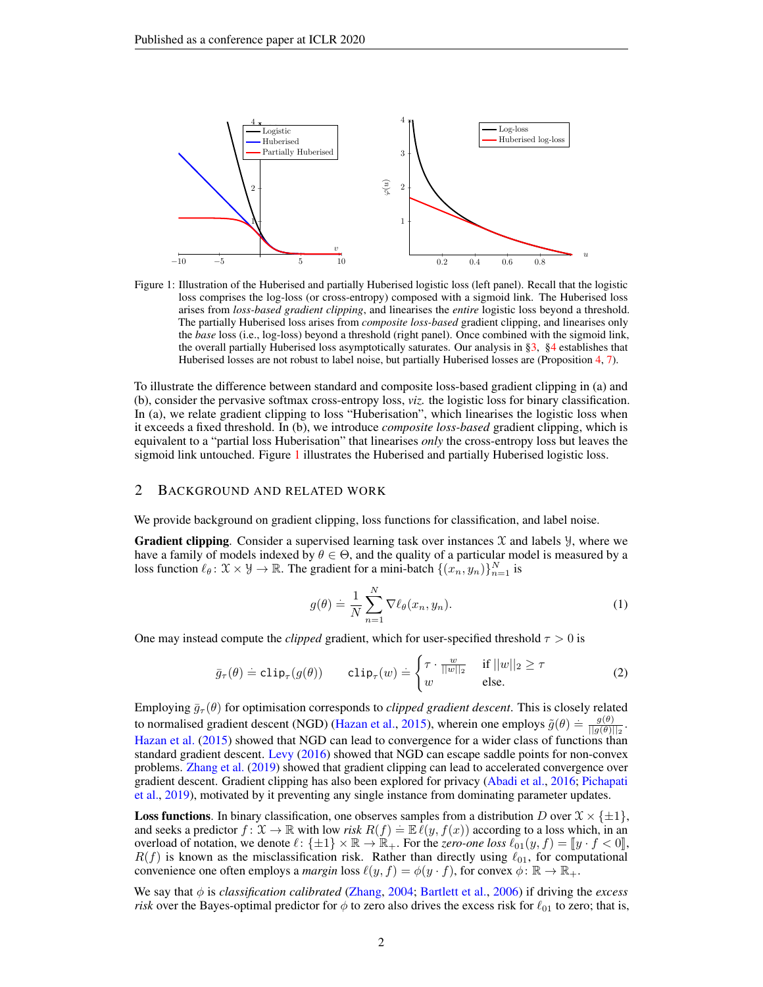<span id="page-1-3"></span><span id="page-1-0"></span>

Figure 1: Illustration of the Huberised and partially Huberised logistic loss (left panel). Recall that the logistic loss comprises the log-loss (or cross-entropy) composed with a sigmoid link. The Huberised loss arises from *loss-based gradient clipping*, and linearises the *entire* logistic loss beyond a threshold. The partially Huberised loss arises from *composite loss-based* gradient clipping, and linearises only the *base* loss (i.e., log-loss) beyond a threshold (right panel). Once combined with the sigmoid link, the overall partially Huberised loss asymptotically saturates. Our analysis in [§3,](#page-2-1) [§4](#page-4-1) establishes that Huberised losses are not robust to label noise, but partially Huberised losses are (Proposition [4,](#page-4-0) [7\)](#page-5-1).

To illustrate the difference between standard and composite loss-based gradient clipping in (a) and (b), consider the pervasive softmax cross-entropy loss, *viz.* the logistic loss for binary classification. In (a), we relate gradient clipping to loss "Huberisation", which linearises the logistic loss when it exceeds a fixed threshold. In (b), we introduce *composite loss-based* gradient clipping, which is equivalent to a "partial loss Huberisation" that linearises *only* the cross-entropy loss but leaves the sigmoid link untouched. Figure [1](#page-1-0) illustrates the Huberised and partially Huberised logistic loss.

#### <span id="page-1-4"></span>2 BACKGROUND AND RELATED WORK

We provide background on gradient clipping, loss functions for classification, and label noise.

**Gradient clipping**. Consider a supervised learning task over instances  $\mathcal{X}$  and labels  $\mathcal{Y}$ , where we have a family of models indexed by  $\theta \in \Theta$ , and the quality of a particular model is measured by a loss function  $\ell_{\theta} : \mathcal{X} \times \mathcal{Y} \to \mathbb{R}$ . The gradient for a mini-batch  $\{(x_n, y_n)\}_{n=1}^N$  is

<span id="page-1-2"></span><span id="page-1-1"></span>
$$
g(\theta) \doteq \frac{1}{N} \sum_{n=1}^{N} \nabla \ell_{\theta}(x_n, y_n). \tag{1}
$$

One may instead compute the *clipped* gradient, which for user-specified threshold  $\tau > 0$  is

$$
\bar{g}_{\tau}(\theta) \doteq \text{clip}_{\tau}(g(\theta)) \qquad \text{clip}_{\tau}(w) \doteq \begin{cases} \tau \cdot \frac{w}{||w||_2} & \text{if } ||w||_2 \ge \tau \\ w & \text{else.} \end{cases} \tag{2}
$$

Employing  $\bar{g}_{\tau}(\theta)$  for optimisation corresponds to *clipped gradient descent*. This is closely related to normalised gradient descent (NGD) [\(Hazan et al.,](#page-10-0) [2015\)](#page-10-0), wherein one employs  $\tilde{g}(\theta) = \frac{g(\theta)}{||g(\theta)||}$  $\frac{g(\theta)}{||g(\theta)||_2}$ . [Hazan et al.](#page-10-0) [\(2015\)](#page-10-0) showed that NGD can lead to convergence for a wider class of functions than standard gradient descent. [Levy](#page-10-1) [\(2016\)](#page-10-1) showed that NGD can escape saddle points for non-convex problems. [Zhang et al.](#page-13-0) [\(2019\)](#page-13-0) showed that gradient clipping can lead to accelerated convergence over gradient descent. Gradient clipping has also been explored for privacy [\(Abadi et al.,](#page-8-0) [2016;](#page-8-0) [Pichapati](#page-12-3) [et al.,](#page-12-3) [2019\)](#page-12-3), motivated by it preventing any single instance from dominating parameter updates.

**Loss functions**. In binary classification, one observes samples from a distribution D over  $\mathcal{X} \times \{\pm 1\}$ , and seeks a predictor  $f: \mathfrak{X} \to \mathbb{R}$  with low *risk*  $R(f) = \mathbb{E} \ell(y, f(x))$  according to a loss which, in an overload of notation, we denote  $\ell : \{\pm 1\} \times \mathbb{R} \to \mathbb{R}_+$ . For the *zero-one loss*  $\ell_{01}(y, f) = ||y \cdot f < 0||$ ,  $R(f)$  is known as the misclassification risk. Rather than directly using  $\ell_{01}$ , for computational convenience one often employs a *margin* loss  $\ell(y, f) = \phi(y \cdot f)$ , for convex  $\phi \colon \mathbb{R} \to \mathbb{R}_+$ .

We say that φ is *classification calibrated* [\(Zhang,](#page-13-4) [2004;](#page-13-4) [Bartlett et al.,](#page-9-4) [2006\)](#page-9-4) if driving the *excess risk* over the Bayes-optimal predictor for  $\phi$  to zero also drives the excess risk for  $\ell_{01}$  to zero; that is,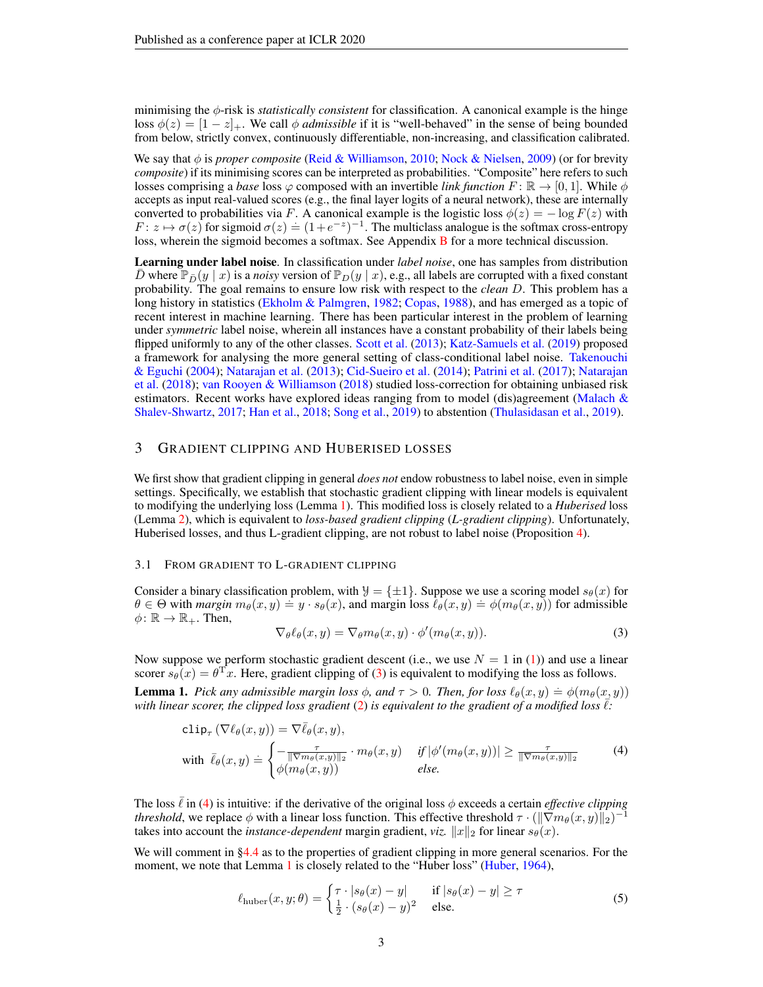minimising the φ-risk is *statistically consistent* for classification. A canonical example is the hinge loss  $\phi(z) = [1 - z]_+$ . We call  $\phi$  *admissible* if it is "well-behaved" in the sense of being bounded from below, strictly convex, continuously differentiable, non-increasing, and classification calibrated.

We say that φ is *proper composite* [\(Reid & Williamson,](#page-12-6) [2010;](#page-12-6) [Nock & Nielsen,](#page-11-6) [2009\)](#page-11-6) (or for brevity *composite*) if its minimising scores can be interpreted as probabilities. "Composite" here refers to such losses comprising a *base* loss  $\varphi$  composed with an invertible *link function*  $F: \mathbb{R} \to [0, 1]$ . While  $\phi$ accepts as input real-valued scores (e.g., the final layer logits of a neural network), these are internally converted to probabilities via F. A canonical example is the logistic loss  $\phi(z) = -\log F(z)$  with  $F: z \mapsto \sigma(z)$  for sigmoid  $\sigma(z) = (1+e^{-z})^{-1}$ . The multiclass analogue is the softmax cross-entropy loss, wherein the sigmoid becomes a softmax. See Appendix [B](#page-19-0) for a more technical discussion.

Learning under label noise. In classification under *label noise*, one has samples from distribution D where  $\mathbb{P}_{\bar{D}}(y | x)$  is a *noisy* version of  $\mathbb{P}_D(y | x)$ , e.g., all labels are corrupted with a fixed constant probability. The goal remains to ensure low risk with respect to the *clean* D. This problem has a long history in statistics [\(Ekholm & Palmgren,](#page-9-5) [1982;](#page-9-5) [Copas,](#page-9-6) [1988\)](#page-9-6), and has emerged as a topic of recent interest in machine learning. There has been particular interest in the problem of learning under *symmetric* label noise, wherein all instances have a constant probability of their labels being flipped uniformly to any of the other classes. [Scott et al.](#page-12-4) [\(2013\)](#page-12-4); [Katz-Samuels et al.](#page-10-4) [\(2019\)](#page-10-4) proposed a framework for analysing the more general setting of class-conditional label noise. [Takenouchi](#page-13-5) [& Eguchi](#page-13-5) [\(2004\)](#page-13-5); [Natarajan et al.](#page-11-3) [\(2013\)](#page-11-3); [Cid-Sueiro et al.](#page-9-7) [\(2014\)](#page-9-7); [Patrini et al.](#page-12-5) [\(2017\)](#page-12-5); [Natarajan](#page-11-7) [et al.](#page-11-7) [\(2018\)](#page-11-7); [van Rooyen & Williamson](#page-13-6) [\(2018\)](#page-13-6) studied loss-correction for obtaining unbiased risk estimators. Recent works have explored ideas ranging from to model (dis)agreement (Malach  $\&$ [Shalev-Shwartz,](#page-11-8) [2017;](#page-11-8) [Han et al.,](#page-10-3) [2018;](#page-10-3) [Song et al.,](#page-13-2) [2019\)](#page-13-2) to abstention [\(Thulasidasan et al.,](#page-13-3) [2019\)](#page-13-3).

### <span id="page-2-1"></span>3 GRADIENT CLIPPING AND HUBERISED LOSSES

We first show that gradient clipping in general *does not* endow robustness to label noise, even in simple settings. Specifically, we establish that stochastic gradient clipping with linear models is equivalent to modifying the underlying loss (Lemma [1\)](#page-2-0). This modified loss is closely related to a *Huberised* loss (Lemma [2\)](#page-3-0), which is equivalent to *loss-based gradient clipping* (*L-gradient clipping*). Unfortunately, Huberised losses, and thus L-gradient clipping, are not robust to label noise (Proposition [4\)](#page-4-0).

#### 3.1 FROM GRADIENT TO L-GRADIENT CLIPPING

Consider a binary classification problem, with  $\mathcal{Y} = {\pm 1}$ . Suppose we use a scoring model  $s_{\theta}(x)$  for  $\theta \in \Theta$  with *margin*  $m_{\theta}(x, y) = y \cdot s_{\theta}(x)$ , and margin loss  $\ell_{\theta}(x, y) = \phi(m_{\theta}(x, y))$  for admissible  $\phi \colon \mathbb{R} \to \mathbb{R}_+$ . Then,

<span id="page-2-3"></span><span id="page-2-2"></span>
$$
\nabla_{\theta} \ell_{\theta}(x, y) = \nabla_{\theta} m_{\theta}(x, y) \cdot \phi'(m_{\theta}(x, y)). \tag{3}
$$

Now suppose we perform stochastic gradient descent (i.e., we use  $N = 1$  in [\(1\)](#page-1-1)) and use a linear scorer  $s_{\theta}(x) = \theta^{\mathrm{T}} x$ . Here, gradient clipping of [\(3\)](#page-2-2) is equivalent to modifying the loss as follows.

<span id="page-2-0"></span>**Lemma 1.** *Pick any admissible margin loss*  $\phi$ , and  $\tau > 0$ . Then, for loss  $\ell_{\theta}(x, y) = \phi(m_{\theta}(x, y))$ with linear scorer, the clipped loss gradient [\(2\)](#page-1-2) is equivalent to the gradient of a modified loss  $\ell$ :

$$
\text{clip}_{\tau} \left( \nabla \ell_{\theta}(x, y) \right) = \nabla \bar{\ell}_{\theta}(x, y),
$$
\n
$$
\text{with } \bar{\ell}_{\theta}(x, y) \doteq \begin{cases}\n-\frac{\tau}{\|\nabla m_{\theta}(x, y)\|_{2}} \cdot m_{\theta}(x, y) & \text{if } |\phi'(m_{\theta}(x, y))| \ge \frac{\tau}{\|\nabla m_{\theta}(x, y)\|_{2}} \\
\phi(m_{\theta}(x, y)) & \text{else.} \n\end{cases} \tag{4}
$$

The loss  $\ell$  in [\(4\)](#page-2-3) is intuitive: if the derivative of the original loss  $\phi$  exceeds a certain *effective clipping threshold*, we replace  $\phi$  with a linear loss function. This effective threshold  $\tau \cdot (\|\nabla m_{\theta}(x, y)\|_2)^{-1}$ takes into account the *instance-dependent* margin gradient, *viz.*  $||x||_2$  for linear  $s_\theta(x)$ .

We will comment in [§4.4](#page-6-1) as to the properties of gradient clipping in more general scenarios. For the moment, we note that Lemma [1](#page-2-0) is closely related to the "Huber loss" [\(Huber,](#page-10-5) [1964\)](#page-10-5),

<span id="page-2-4"></span>
$$
\ell_{\text{huber}}(x, y; \theta) = \begin{cases} \tau \cdot |s_{\theta}(x) - y| & \text{if } |s_{\theta}(x) - y| \ge \tau \\ \frac{1}{2} \cdot (s_{\theta}(x) - y)^2 & \text{else.} \end{cases} \tag{5}
$$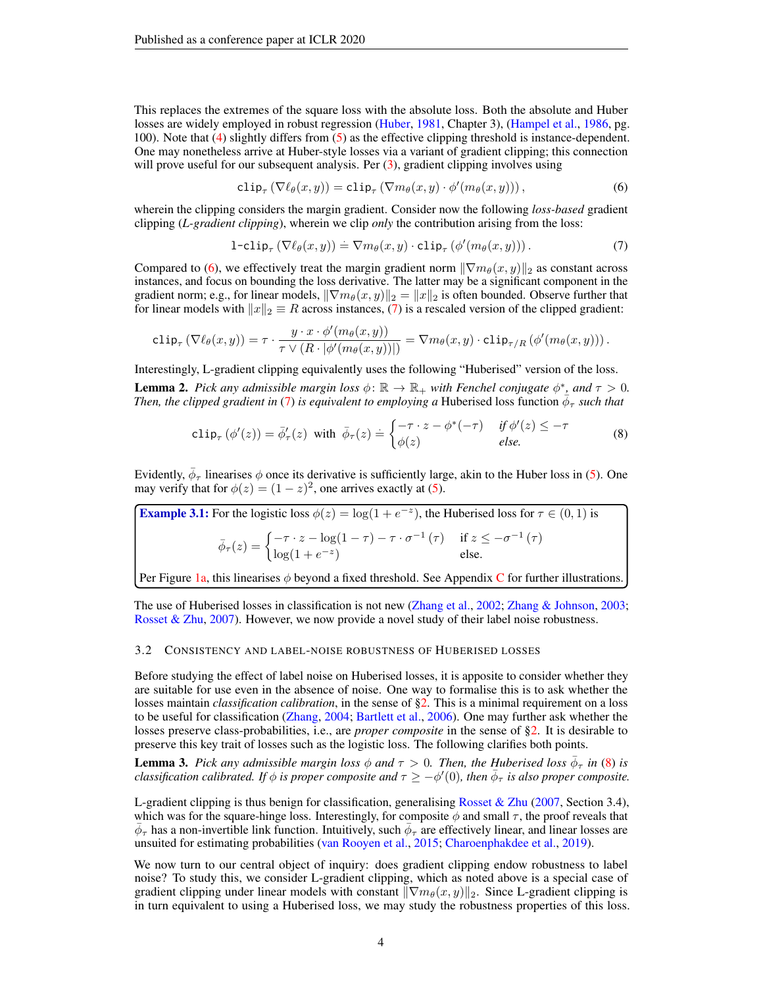This replaces the extremes of the square loss with the absolute loss. Both the absolute and Huber losses are widely employed in robust regression [\(Huber,](#page-10-6) [1981,](#page-10-6) Chapter 3), [\(Hampel et al.,](#page-10-7) [1986,](#page-10-7) pg. 100). Note that [\(4\)](#page-2-3) slightly differs from [\(5\)](#page-2-4) as the effective clipping threshold is instance-dependent. One may nonetheless arrive at Huber-style losses via a variant of gradient clipping; this connection will prove useful for our subsequent analysis. Per  $(3)$ , gradient clipping involves using

<span id="page-3-3"></span><span id="page-3-2"></span>
$$
\text{clip}_{\tau} \left( \nabla \ell_{\theta}(x, y) \right) = \text{clip}_{\tau} \left( \nabla m_{\theta}(x, y) \cdot \phi'(m_{\theta}(x, y)) \right), \tag{6}
$$

wherein the clipping considers the margin gradient. Consider now the following *loss-based* gradient clipping (*L-gradient clipping*), wherein we clip *only* the contribution arising from the loss:

<span id="page-3-4"></span>
$$
1\text{-clip}_{\tau} \left( \nabla \ell_{\theta}(x, y) \right) \doteq \nabla m_{\theta}(x, y) \cdot \text{clip}_{\tau} \left( \phi'(m_{\theta}(x, y)) \right). \tag{7}
$$

Compared to [\(6\)](#page-3-2), we effectively treat the margin gradient norm  $\|\nabla m_\theta(x, y)\|_2$  as constant across instances, and focus on bounding the loss derivative. The latter may be a significant component in the gradient norm; e.g., for linear models,  $\|\nabla m_{\theta}(x, y)\|_2 = \|x\|_2$  is often bounded. Observe further that for linear models with  $||x||_2 \equiv R$  across instances, [\(7\)](#page-3-3) is a rescaled version of the clipped gradient:

$$
\mathsf{clip}_{\tau} \left( \nabla \ell_{\theta}(x, y) \right) = \tau \cdot \frac{y \cdot x \cdot \phi'(m_{\theta}(x, y))}{\tau \vee (R \cdot |\phi'(m_{\theta}(x, y))|)} = \nabla m_{\theta}(x, y) \cdot \mathsf{clip}_{\tau/R} \left( \phi'(m_{\theta}(x, y)) \right).
$$

<span id="page-3-0"></span>Interestingly, L-gradient clipping equivalently uses the following "Huberised" version of the loss. **Lemma 2.** *Pick any admissible margin loss*  $\phi \colon \mathbb{R} \to \mathbb{R}_+$  *with Fenchel conjugate*  $\phi^*$ , *and*  $\tau > 0$ . *Then, the clipped gradient in* [\(7\)](#page-3-3) *is equivalent to employing a* Huberised loss function  $\bar{\phi}_{\tau}$  such that

$$
\text{clip}_{\tau}(\phi'(z)) = \bar{\phi}'_{\tau}(z) \text{ with } \bar{\phi}_{\tau}(z) = \begin{cases} -\tau \cdot z - \phi^*(-\tau) & \text{if } \phi'(z) \leq -\tau \\ \phi(z) & \text{else.} \end{cases}
$$
(8)

Evidently,  $\bar{\phi}_{\tau}$  linearises  $\phi$  once its derivative is sufficiently large, akin to the Huber loss in [\(5\)](#page-2-4). One may verify that for  $\phi(z) = (1 - z)^2$ , one arrives exactly at [\(5\)](#page-2-4).

**Example 3.1:** For the logistic loss 
$$
\phi(z) = \log(1 + e^{-z})
$$
, the Huberised loss for  $\tau \in (0, 1)$  is  
\n
$$
\bar{\phi}_{\tau}(z) = \begin{cases}\n-\tau \cdot z - \log(1 - \tau) - \tau \cdot \sigma^{-1}(\tau) & \text{if } z \leq -\sigma^{-1}(\tau) \\
\log(1 + e^{-z}) & \text{else.} \n\end{cases}
$$

Per Figure [1a,](#page-1-3) this linearises  $\phi$  beyond a fixed threshold. See Appendix [C](#page-20-0) for further illustrations.

The use of Huberised losses in classification is not new [\(Zhang et al.,](#page-13-7) [2002;](#page-13-7) [Zhang & Johnson,](#page-13-8) [2003;](#page-13-8) [Rosset & Zhu,](#page-12-7) [2007\)](#page-12-7). However, we now provide a novel study of their label noise robustness.

#### <span id="page-3-5"></span>3.2 CONSISTENCY AND LABEL-NOISE ROBUSTNESS OF HUBERISED LOSSES

Before studying the effect of label noise on Huberised losses, it is apposite to consider whether they are suitable for use even in the absence of noise. One way to formalise this is to ask whether the losses maintain *classification calibration*, in the sense of [§2.](#page-1-4) This is a minimal requirement on a loss to be useful for classification [\(Zhang,](#page-13-4) [2004;](#page-13-4) [Bartlett et al.,](#page-9-4) [2006\)](#page-9-4). One may further ask whether the losses preserve class-probabilities, i.e., are *proper composite* in the sense of [§2.](#page-1-4) It is desirable to preserve this key trait of losses such as the logistic loss. The following clarifies both points.

<span id="page-3-1"></span>**Lemma 3.** Pick any admissible margin loss  $\phi$  and  $\tau > 0$ . Then, the Huberised loss  $\bar{\phi}_{\tau}$  in [\(8\)](#page-3-4) is *classification calibrated. If*  $\phi$  *is proper composite and*  $\tau \ge -\phi'(0)$ , then  $\bar{\phi}_{\tau}$  *is also proper composite.* 

L-gradient clipping is thus benign for classification, generalising [Rosset & Zhu](#page-12-7) [\(2007,](#page-12-7) Section 3.4), which was for the square-hinge loss. Interestingly, for composite  $\phi$  and small  $\tau$ , the proof reveals that  $\bar{\phi}_\tau$  has a non-invertible link function. Intuitively, such  $\bar{\phi}_\tau$  are effectively linear, and linear losses are unsuited for estimating probabilities [\(van Rooyen et al.,](#page-13-9) [2015;](#page-13-9) [Charoenphakdee et al.,](#page-9-3) [2019\)](#page-9-3).

We now turn to our central object of inquiry: does gradient clipping endow robustness to label noise? To study this, we consider L-gradient clipping, which as noted above is a special case of gradient clipping under linear models with constant  $\|\nabla m_{\theta}(x, y)\|_2$ . Since L-gradient clipping is in turn equivalent to using a Huberised loss, we may study the robustness properties of this loss.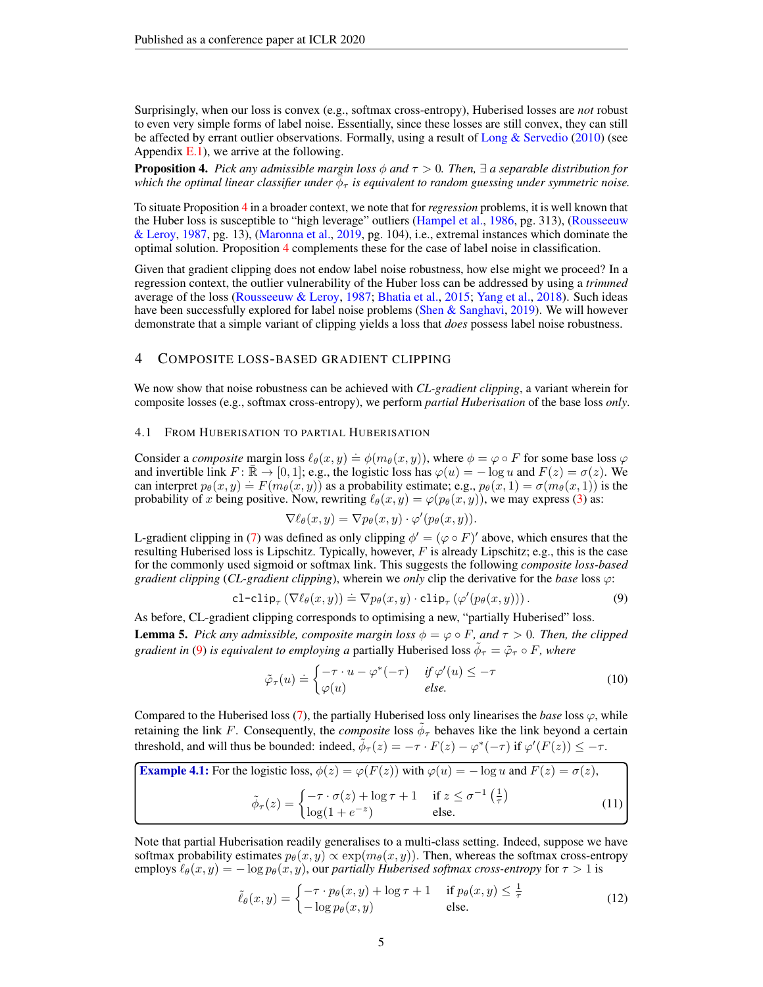Surprisingly, when our loss is convex (e.g., softmax cross-entropy), Huberised losses are *not* robust to even very simple forms of label noise. Essentially, since these losses are still convex, they can still be affected by errant outlier observations. Formally, using a result of [Long & Servedio](#page-11-9) [\(2010\)](#page-11-9) (see Appendix  $E(1)$ , we arrive at the following.

<span id="page-4-0"></span>**Proposition 4.** *Pick any admissible margin loss*  $\phi$  *and*  $\tau > 0$ *. Then,*  $\exists$  *a separable distribution for* which the optimal linear classifier under  $\bar{\phi}_\tau$  is equivalent to random guessing under symmetric noise.

To situate Proposition [4](#page-4-0) in a broader context, we note that for *regression* problems, it is well known that the Huber loss is susceptible to "high leverage" outliers [\(Hampel et al.,](#page-10-7) [1986,](#page-10-7) pg. 313), [\(Rousseeuw](#page-12-8) [& Leroy,](#page-12-8) [1987,](#page-12-8) pg. 13), [\(Maronna et al.,](#page-11-10) [2019,](#page-11-10) pg. 104), i.e., extremal instances which dominate the optimal solution. Proposition [4](#page-4-0) complements these for the case of label noise in classification.

Given that gradient clipping does not endow label noise robustness, how else might we proceed? In a regression context, the outlier vulnerability of the Huber loss can be addressed by using a *trimmed* average of the loss [\(Rousseeuw & Leroy,](#page-12-8) [1987;](#page-12-8) [Bhatia et al.,](#page-9-8) [2015;](#page-9-8) [Yang et al.,](#page-13-10) [2018\)](#page-13-10). Such ideas have been successfully explored for label noise problems [\(Shen & Sanghavi,](#page-12-9) [2019\)](#page-12-9). We will however demonstrate that a simple variant of clipping yields a loss that *does* possess label noise robustness.

### <span id="page-4-1"></span>4 COMPOSITE LOSS-BASED GRADIENT CLIPPING

We now show that noise robustness can be achieved with *CL-gradient clipping*, a variant wherein for composite losses (e.g., softmax cross-entropy), we perform *partial Huberisation* of the base loss *only*.

#### 4.1 FROM HUBERISATION TO PARTIAL HUBERISATION

Consider a *composite* margin loss  $\ell_{\theta}(x, y) = \phi(m_{\theta}(x, y))$ , where  $\phi = \varphi \circ F$  for some base loss  $\varphi$ and invertible link  $F: \overline{\mathbb{R}} \to [0, 1]$ ; e.g., the logistic loss has  $\varphi(u) = -\log u$  and  $F(z) = \sigma(z)$ . We can interpret  $p_{\theta}(x, y) = F(m_{\theta}(x, y))$  as a probability estimate; e.g.,  $p_{\theta}(x, 1) = \sigma(m_{\theta}(x, 1))$  is the probability of x being positive. Now, rewriting  $\ell_{\theta}(x, y) = \varphi(p_{\theta}(x, y))$ , we may express [\(3\)](#page-2-2) as:

<span id="page-4-2"></span>
$$
\nabla \ell_{\theta}(x, y) = \nabla p_{\theta}(x, y) \cdot \varphi'(p_{\theta}(x, y)).
$$

L-gradient clipping in [\(7\)](#page-3-3) was defined as only clipping  $\phi' = (\varphi \circ F)'$  above, which ensures that the resulting Huberised loss is Lipschitz. Typically, however,  $F$  is already Lipschitz; e.g., this is the case for the commonly used sigmoid or softmax link. This suggests the following *composite loss-based gradient clipping* (*CL-gradient clipping*), wherein we *only* clip the derivative for the *base* loss ϕ:

$$
\text{cl-clip}_{\tau} \left( \nabla \ell_{\theta}(x, y) \right) \doteq \nabla p_{\theta}(x, y) \cdot \text{clip}_{\tau} \left( \varphi'(p_{\theta}(x, y)) \right). \tag{9}
$$

<span id="page-4-6"></span>As before, CL-gradient clipping corresponds to optimising a new, "partially Huberised" loss. **Lemma 5.** Pick any admissible, composite margin loss  $\phi = \varphi \circ F$ , and  $\tau > 0$ . Then, the clipped *gradient in* [\(9\)](#page-4-2) *is equivalent to employing a partially Huberised loss*  $\tilde{\phi}_{\tau} = \tilde{\varphi}_{\tau} \circ F$ *, where* 

<span id="page-4-4"></span><span id="page-4-3"></span>
$$
\tilde{\varphi}_{\tau}(u) \doteq \begin{cases}\n-\tau \cdot u - \varphi^*(-\tau) & \text{if } \varphi'(u) \leq -\tau \\
\varphi(u) & \text{else.} \n\end{cases}
$$
\n(10)

Compared to the Huberised loss  $(7)$ , the partially Huberised loss only linearises the *base* loss  $\varphi$ , while retaining the link F. Consequently, the *composite* loss  $\tilde{\phi}_{\tau}$  behaves like the link beyond a certain threshold, and will thus be bounded: indeed,  $\tilde{\phi}_{\tau}(z) = -\tau \cdot F(z) - \varphi^*(-\tau)$  if  $\varphi'(F(z)) \leq -\tau$ .

**Example 4.1:** For the logistic loss, 
$$
\phi(z) = \varphi(F(z))
$$
 with  $\varphi(u) = -\log u$  and  $F(z) = \sigma(z)$ ,  
\n
$$
\tilde{\phi}_{\tau}(z) = \begin{cases}\n-\tau \cdot \sigma(z) + \log \tau + 1 & \text{if } z \le \sigma^{-1}\left(\frac{1}{\tau}\right) \\
\log(1 + e^{-z}) & \text{else.} \n\end{cases}
$$
\n(11)

Note that partial Huberisation readily generalises to a multi-class setting. Indeed, suppose we have softmax probability estimates  $p_{\theta}(x, y) \propto \exp(m_{\theta}(x, y))$ . Then, whereas the softmax cross-entropy employs  $\ell_{\theta}(x, y) = -\log p_{\theta}(x, y)$ , our *partially Huberised softmax cross-entropy* for  $\tau > 1$  is

<span id="page-4-5"></span>
$$
\tilde{\ell}_{\theta}(x,y) = \begin{cases}\n-\tau \cdot p_{\theta}(x,y) + \log \tau + 1 & \text{if } p_{\theta}(x,y) \le \frac{1}{\tau} \\
-\log p_{\theta}(x,y) & \text{else.} \n\end{cases}
$$
\n(12)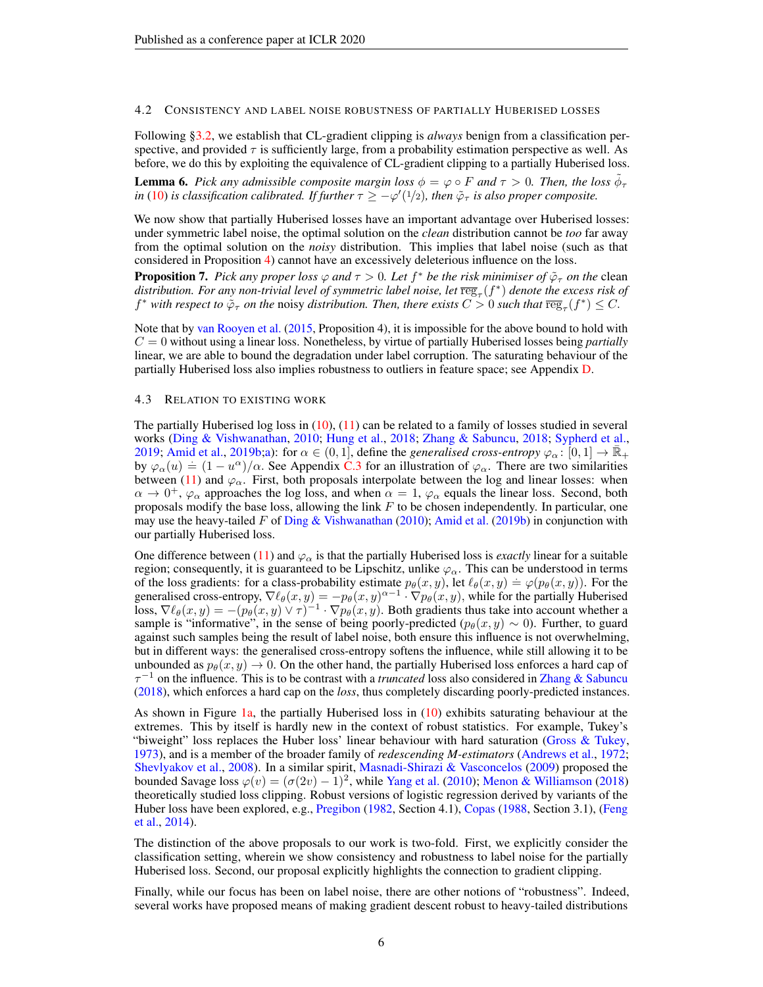#### 4.2 CONSISTENCY AND LABEL NOISE ROBUSTNESS OF PARTIALLY HUBERISED LOSSES

Following [§3.2,](#page-3-5) we establish that CL-gradient clipping is *always* benign from a classification perspective, and provided  $\tau$  is sufficiently large, from a probability estimation perspective as well. As before, we do this by exploiting the equivalence of CL-gradient clipping to a partially Huberised loss.

<span id="page-5-0"></span>**Lemma 6.** Pick any admissible composite margin loss  $\phi = \varphi \circ F$  and  $\tau > 0$ . Then, the loss  $\tilde{\phi}_{\tau}$ *in* [\(10\)](#page-4-3) *is classification calibrated. If further*  $\tau \ge -\varphi'(1/2)$ *, then*  $\tilde{\varphi}_{\tau}$  *is also proper composite.* 

We now show that partially Huberised losses have an important advantage over Huberised losses: under symmetric label noise, the optimal solution on the *clean* distribution cannot be *too* far away from the optimal solution on the *noisy* distribution. This implies that label noise (such as that considered in Proposition [4\)](#page-4-0) cannot have an excessively deleterious influence on the loss.

<span id="page-5-1"></span>**Proposition 7.** Pick any proper loss  $\varphi$  and  $\tau > 0$ . Let  $f^*$  be the risk minimiser of  $\tilde{\varphi}_\tau$  on the clean  $d$ istribution. For any non-trivial level of symmetric label noise, let  $\overline{\text{reg}}_{\tau}(f^*)$  denote the excess risk of  $f^*$  *with respect to*  $\tilde{\varphi}_{\tau}$  *on the noisy distribution. Then, there exists*  $C > 0$  *such that*  $\overline{\text{reg}}_{\tau}(f^*) \leq C$ .

Note that by [van Rooyen et al.](#page-13-9) [\(2015,](#page-13-9) Proposition 4), it is impossible for the above bound to hold with  $C = 0$  without using a linear loss. Nonetheless, by virtue of partially Huberised losses being *partially* linear, we are able to bound the degradation under label corruption. The saturating behaviour of the partially Huberised loss also implies robustness to outliers in feature space; see Appendix [D.](#page-23-0)

#### <span id="page-5-2"></span>4.3 RELATION TO EXISTING WORK

The partially Huberised log loss in  $(10)$ ,  $(11)$  can be related to a family of losses studied in several works [\(Ding & Vishwanathan,](#page-9-9) [2010;](#page-9-9) [Hung et al.,](#page-10-8) [2018;](#page-10-8) [Zhang & Sabuncu,](#page-13-1) [2018;](#page-13-1) [Sypherd et al.,](#page-13-11) [2019;](#page-13-11) [Amid et al.,](#page-8-1) [2019b;](#page-8-1)[a\)](#page-8-2): for  $\alpha \in (0,1]$ , define the *generalised cross-entropy*  $\varphi_{\alpha}$ :  $[0,1] \to \overline{\mathbb{R}}_{+}$  $\phi_{\alpha}(u) = (1 - u^{\alpha})/\alpha$ . See Appendix [C.3](#page-20-1) for an illustration of  $\varphi_{\alpha}$ . There are two similarities between [\(11\)](#page-4-4) and  $\varphi_{\alpha}$ . First, both proposals interpolate between the log and linear losses: when  $\alpha \to 0^+, \varphi_\alpha$  approaches the log loss, and when  $\alpha = 1, \varphi_\alpha$  equals the linear loss. Second, both proposals modify the base loss, allowing the link  $F$  to be chosen independently. In particular, one may use the heavy-tailed  $F$  of Ding  $\&$  Vishwanathan [\(2010\)](#page-9-9); [Amid et al.](#page-8-1) [\(2019b\)](#page-8-1) in conjunction with our partially Huberised loss.

One difference between [\(11\)](#page-4-4) and  $\varphi_{\alpha}$  is that the partially Huberised loss is *exactly* linear for a suitable region; consequently, it is guaranteed to be Lipschitz, unlike  $\varphi_{\alpha}$ . This can be understood in terms of the loss gradients: for a class-probability estimate  $p_{\theta}(x, y)$ , let  $\ell_{\theta}(x, y) = \varphi(p_{\theta}(x, y))$ . For the generalised cross-entropy,  $\nabla \ell_{\theta}(x, y) = -p_{\theta}(x, y)^{\alpha-1} \cdot \nabla p_{\theta}(x, y)$ , while for the partially Huberised loss,  $\nabla \ell_{\theta}(x, y) = -(p_{\theta}(x, y) \vee \tau)^{-1} \cdot \nabla p_{\theta}(x, y)$ . Both gradients thus take into account whether a sample is "informative", in the sense of being poorly-predicted ( $p_\theta(x, y) \sim 0$ ). Further, to guard against such samples being the result of label noise, both ensure this influence is not overwhelming, but in different ways: the generalised cross-entropy softens the influence, while still allowing it to be unbounded as  $p_{\theta}(x, y) \rightarrow 0$ . On the other hand, the partially Huberised loss enforces a hard cap of  $\tau^{-1}$  on the influence. This is to be contrast with a *truncated* loss also considered in [Zhang & Sabuncu](#page-13-1) [\(2018\)](#page-13-1), which enforces a hard cap on the *loss*, thus completely discarding poorly-predicted instances.

As shown in Figure [1a,](#page-1-3) the partially Huberised loss in [\(10\)](#page-4-3) exhibits saturating behaviour at the extremes. This by itself is hardly new in the context of robust statistics. For example, Tukey's "biweight" loss replaces the Huber loss' linear behaviour with hard saturation [\(Gross & Tukey,](#page-10-9) [1973\)](#page-10-9), and is a member of the broader family of *redescending M-estimators* [\(Andrews et al.,](#page-9-10) [1972;](#page-9-10) [Shevlyakov et al.,](#page-12-10) [2008\)](#page-12-10). In a similar spirit, [Masnadi-Shirazi & Vasconcelos](#page-11-11) [\(2009\)](#page-11-11) proposed the bounded Savage loss  $\varphi(v) = (\sigma(2v) - 1)^2$ , while [Yang et al.](#page-13-12) [\(2010\)](#page-13-12); [Menon & Williamson](#page-11-12) [\(2018\)](#page-11-12) theoretically studied loss clipping. Robust versions of logistic regression derived by variants of the Huber loss have been explored, e.g., [Pregibon](#page-12-11) [\(1982,](#page-12-11) Section 4.1), [Copas](#page-9-6) [\(1988,](#page-9-6) Section 3.1), [\(Feng](#page-9-11) [et al.,](#page-9-11) [2014\)](#page-9-11).

The distinction of the above proposals to our work is two-fold. First, we explicitly consider the classification setting, wherein we show consistency and robustness to label noise for the partially Huberised loss. Second, our proposal explicitly highlights the connection to gradient clipping.

Finally, while our focus has been on label noise, there are other notions of "robustness". Indeed, several works have proposed means of making gradient descent robust to heavy-tailed distributions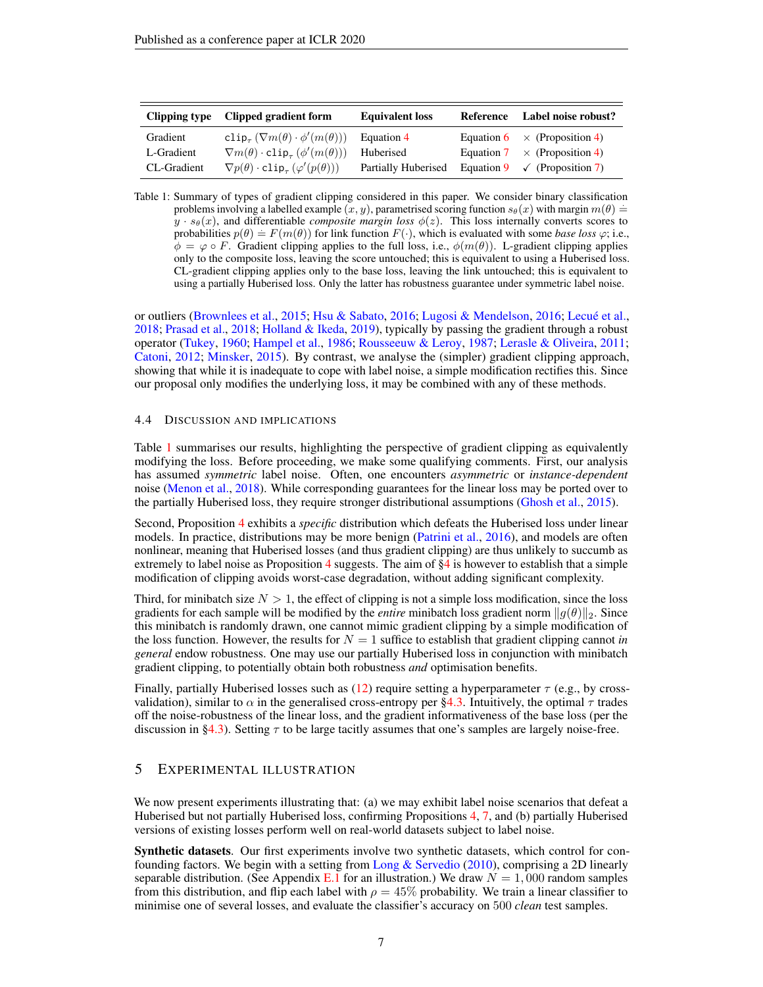<span id="page-6-1"></span>

| Clipping type | Clipped gradient form                                                         | <b>Equivalent loss</b> | Reference Label noise robust?           |
|---------------|-------------------------------------------------------------------------------|------------------------|-----------------------------------------|
| Gradient      | clip <sub><math>\tau</math></sub> $(\nabla m(\theta) \cdot \phi'(m(\theta)))$ | Equation 4             | Equation 6 $\times$ (Proposition 4)     |
| L-Gradient    | $\nabla m(\theta) \cdot \text{clip}_{\tau} (\phi'(m(\theta)))$                | Huberised              | Equation 7 $\times$ (Proposition 4)     |
| CL-Gradient   | $\nabla p(\theta) \cdot \text{clip}_{\tau} (\varphi'(p(\theta)))$             | Partially Huberised    | Equation 9 $\checkmark$ (Proposition 7) |

Table 1: Summary of types of gradient clipping considered in this paper. We consider binary classification problems involving a labelled example  $(x, y)$ , parametrised scoring function  $s_{\theta}(x)$  with margin  $m(\theta)$  =  $y \cdot s_\theta(x)$ , and differentiable *composite margin loss*  $\phi(z)$ . This loss internally converts scores to probabilities  $p(\theta) = F(m(\theta))$  for link function  $F(\cdot)$ , which is evaluated with some *base loss*  $\varphi$ ; i.e.,  $\phi = \varphi \circ F$ . Gradient clipping applies to the full loss, i.e.,  $\phi(m(\theta))$ . L-gradient clipping applies only to the composite loss, leaving the score untouched; this is equivalent to using a Huberised loss. CL-gradient clipping applies only to the base loss, leaving the link untouched; this is equivalent to using a partially Huberised loss. Only the latter has robustness guarantee under symmetric label noise.

or outliers [\(Brownlees et al.,](#page-9-12) [2015;](#page-9-12) [Hsu & Sabato,](#page-10-10) [2016;](#page-10-10) [Lugosi & Mendelson,](#page-11-13) [2016;](#page-11-13) [Lecué et al.,](#page-10-11) [2018;](#page-10-11) [Prasad et al.,](#page-12-12) [2018;](#page-12-12) [Holland & Ikeda,](#page-10-12) [2019\)](#page-10-12), typically by passing the gradient through a robust operator [\(Tukey,](#page-13-13) [1960;](#page-13-13) [Hampel et al.,](#page-10-7) [1986;](#page-10-7) [Rousseeuw & Leroy,](#page-12-8) [1987;](#page-12-8) [Lerasle & Oliveira,](#page-10-13) [2011;](#page-10-13) [Catoni,](#page-9-13) [2012;](#page-9-13) [Minsker,](#page-11-14) [2015\)](#page-11-14). By contrast, we analyse the (simpler) gradient clipping approach, showing that while it is inadequate to cope with label noise, a simple modification rectifies this. Since our proposal only modifies the underlying loss, it may be combined with any of these methods.

#### 4.4 DISCUSSION AND IMPLICATIONS

Table [1](#page-6-1) summarises our results, highlighting the perspective of gradient clipping as equivalently modifying the loss. Before proceeding, we make some qualifying comments. First, our analysis has assumed *symmetric* label noise. Often, one encounters *asymmetric* or *instance-dependent* noise [\(Menon et al.,](#page-11-15) [2018\)](#page-11-15). While corresponding guarantees for the linear loss may be ported over to the partially Huberised loss, they require stronger distributional assumptions [\(Ghosh et al.,](#page-9-14) [2015\)](#page-9-14).

Second, Proposition [4](#page-4-0) exhibits a *specific* distribution which defeats the Huberised loss under linear models. In practice, distributions may be more benign [\(Patrini et al.,](#page-12-13) [2016\)](#page-12-13), and models are often nonlinear, meaning that Huberised losses (and thus gradient clipping) are thus unlikely to succumb as extremely to label noise as Proposition [4](#page-4-0) suggests. The aim of  $\S$ 4 is however to establish that a simple modification of clipping avoids worst-case degradation, without adding significant complexity.

Third, for minibatch size  $N > 1$ , the effect of clipping is not a simple loss modification, since the loss gradients for each sample will be modified by the *entire* minibatch loss gradient norm  $||g(\theta)||_2$ . Since this minibatch is randomly drawn, one cannot mimic gradient clipping by a simple modification of the loss function. However, the results for  $N = 1$  suffice to establish that gradient clipping cannot *in general* endow robustness. One may use our partially Huberised loss in conjunction with minibatch gradient clipping, to potentially obtain both robustness *and* optimisation benefits.

Finally, partially Huberised losses such as [\(12\)](#page-4-5) require setting a hyperparameter  $\tau$  (e.g., by crossvalidation), similar to  $\alpha$  in the generalised cross-entropy per [§4.3.](#page-5-2) Intuitively, the optimal  $\tau$  trades off the noise-robustness of the linear loss, and the gradient informativeness of the base loss (per the discussion in [§4.3\)](#page-5-2). Setting  $\tau$  to be large tacitly assumes that one's samples are largely noise-free.

## <span id="page-6-0"></span>5 EXPERIMENTAL ILLUSTRATION

We now present experiments illustrating that: (a) we may exhibit label noise scenarios that defeat a Huberised but not partially Huberised loss, confirming Propositions [4,](#page-4-0) [7,](#page-5-1) and (b) partially Huberised versions of existing losses perform well on real-world datasets subject to label noise.

Synthetic datasets. Our first experiments involve two synthetic datasets, which control for con-founding factors. We begin with a setting from [Long & Servedio](#page-11-9) [\(2010\)](#page-11-9), comprising a 2D linearly separable distribution. (See Appendix [E.1](#page-24-0) for an illustration.) We draw  $N = 1,000$  random samples from this distribution, and flip each label with  $\rho = 45\%$  probability. We train a linear classifier to minimise one of several losses, and evaluate the classifier's accuracy on 500 *clean* test samples.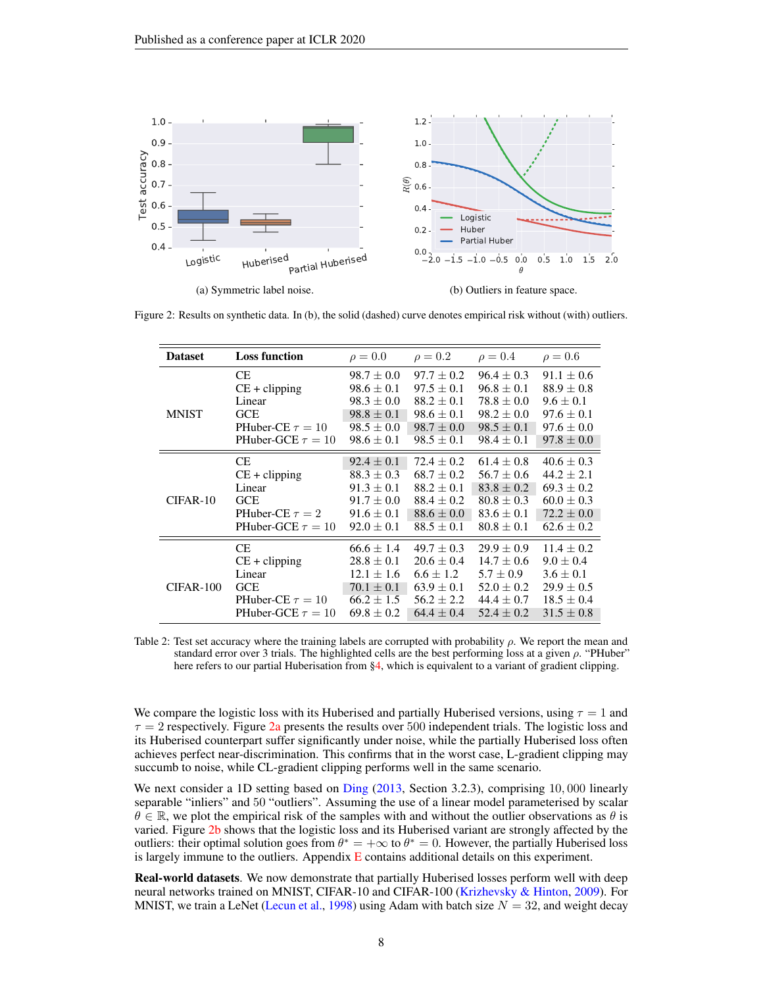<span id="page-7-1"></span><span id="page-7-0"></span>

Figure 2: Results on synthetic data. In (b), the solid (dashed) curve denotes empirical risk without (with) outliers.

<span id="page-7-2"></span>

| <b>Dataset</b> | <b>Loss function</b>   | $\rho = 0.0$   | $\rho = 0.2$   | $\rho = 0.4$   | $\rho = 0.6$   |
|----------------|------------------------|----------------|----------------|----------------|----------------|
| <b>MNIST</b>   | <b>CE</b>              | $98.7 \pm 0.0$ | $97.7 \pm 0.2$ | $96.4 \pm 0.3$ | $91.1 \pm 0.6$ |
|                | $CE + clipping$        | $98.6 \pm 0.1$ | $97.5 + 0.1$   | $96.8 \pm 0.1$ | $88.9 \pm 0.8$ |
|                | Linear                 | $98.3 \pm 0.0$ | $88.2 + 0.1$   | $78.8 + 0.0$   | $9.6 \pm 0.1$  |
|                | <b>GCE</b>             | $98.8 \pm 0.1$ | $98.6 \pm 0.1$ | $98.2 \pm 0.0$ | $97.6 \pm 0.1$ |
|                | PHuber-CE $\tau = 10$  | $98.5 \pm 0.0$ | $98.7 \pm 0.0$ | $98.5 \pm 0.1$ | $97.6 \pm 0.0$ |
|                | PHuber-GCE $\tau = 10$ | $98.6 \pm 0.1$ | $98.5 \pm 0.1$ | $98.4 \pm 0.1$ | $97.8 \pm 0.0$ |
| $CIFAR-10$     | <b>CE</b>              | $92.4 \pm 0.1$ | $72.4 + 0.2$   | $61.4 + 0.8$   | $40.6 \pm 0.3$ |
|                | $CE + clipping$        | $88.3 \pm 0.3$ | $68.7 \pm 0.2$ | $56.7 \pm 0.6$ | $44.2 \pm 2.1$ |
|                | Linear                 | $91.3 \pm 0.1$ | $88.2 \pm 0.1$ | $83.8 \pm 0.2$ | $69.3 \pm 0.2$ |
|                | <b>GCE</b>             | $91.7 + 0.0$   | $88.4 + 0.2$   | $80.8 \pm 0.3$ | $60.0 \pm 0.3$ |
|                | PHuber-CE $\tau = 2$   | $91.6 \pm 0.1$ | $88.6 \pm 0.0$ | $83.6 \pm 0.1$ | $72.2 \pm 0.0$ |
|                | PHuber-GCE $\tau = 10$ | $92.0 + 0.1$   | $88.5 \pm 0.1$ | $80.8 \pm 0.1$ | $62.6 \pm 0.2$ |
| CIFAR-100      | <b>CE</b>              | $66.6 + 1.4$   | $49.7 + 0.3$   | $29.9 + 0.9$   | $11.4 + 0.2$   |
|                | $CE + clipping$        | $28.8 \pm 0.1$ | $20.6 \pm 0.4$ | $14.7 \pm 0.6$ | $9.0 \pm 0.4$  |
|                | Linear                 | $12.1 + 1.6$   | $6.6 \pm 1.2$  | $5.7 \pm 0.9$  | $3.6 \pm 0.1$  |
|                | <b>GCE</b>             | $70.1 \pm 0.1$ | $63.9 \pm 0.1$ | $52.0 \pm 0.2$ | $29.9 \pm 0.5$ |
|                | PHuber-CE $\tau = 10$  | $66.2 \pm 1.5$ | $56.2 + 2.2$   | $44.4 \pm 0.7$ | $18.5 \pm 0.4$ |
|                | PHuber-GCE $\tau = 10$ | $69.8 \pm 0.2$ | $64.4 + 0.4$   | $52.4 + 0.2$   | $31.5 \pm 0.8$ |

Table 2: Test set accuracy where the training labels are corrupted with probability  $\rho$ . We report the mean and standard error over 3 trials. The highlighted cells are the best performing loss at a given ρ. "PHuber" here refers to our partial Huberisation from [§4,](#page-4-1) which is equivalent to a variant of gradient clipping.

We compare the logistic loss with its Huberised and partially Huberised versions, using  $\tau = 1$  and  $\tau = 2$  respectively. Figure [2a](#page-7-0) presents the results over 500 independent trials. The logistic loss and its Huberised counterpart suffer significantly under noise, while the partially Huberised loss often achieves perfect near-discrimination. This confirms that in the worst case, L-gradient clipping may succumb to noise, while CL-gradient clipping performs well in the same scenario.

We next consider a 1D setting based on [Ding](#page-9-15) [\(2013,](#page-9-15) Section 3.2.3), comprising 10,000 linearly separable "inliers" and 50 "outliers". Assuming the use of a linear model parameterised by scalar  $\theta \in \mathbb{R}$ , we plot the empirical risk of the samples with and without the outlier observations as  $\theta$  is varied. Figure [2b](#page-7-1) shows that the logistic loss and its Huberised variant are strongly affected by the outliers: their optimal solution goes from  $\theta^* = +\infty$  to  $\theta^* = 0$ . However, the partially Huberised loss is largely immune to the outliers. Appendix  $E$  contains additional details on this experiment.

Real-world datasets. We now demonstrate that partially Huberised losses perform well with deep neural networks trained on MNIST, CIFAR-10 and CIFAR-100 [\(Krizhevsky & Hinton,](#page-10-14) [2009\)](#page-10-14). For MNIST, we train a LeNet [\(Lecun et al.,](#page-10-15) [1998\)](#page-10-15) using Adam with batch size  $N = 32$ , and weight decay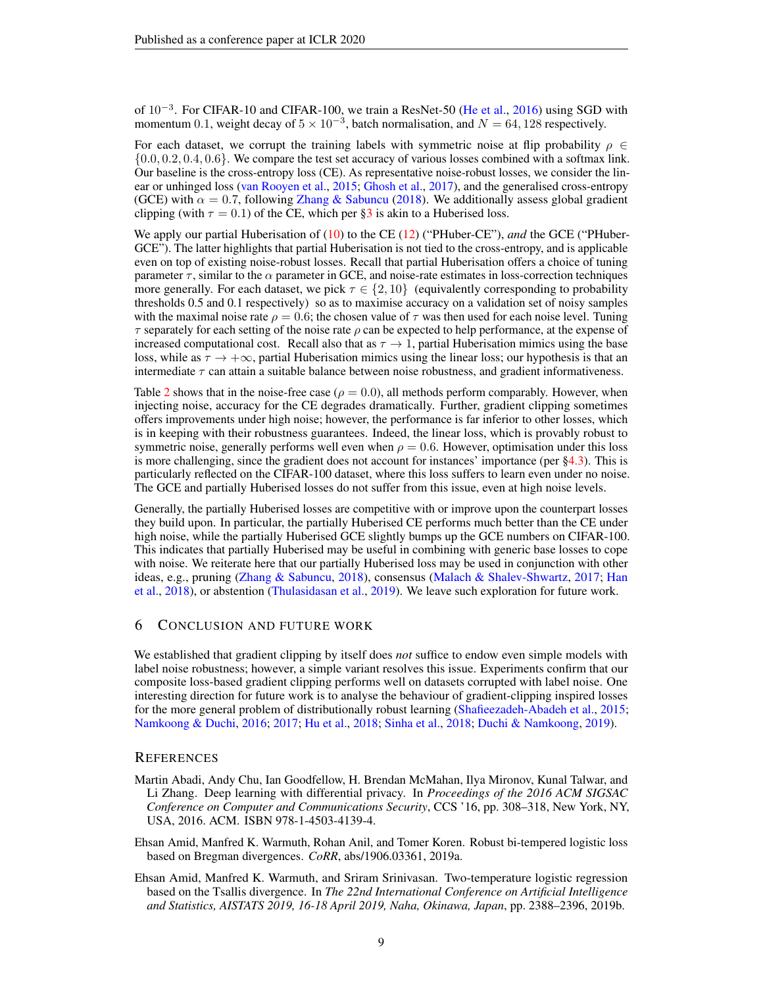of 10<sup>-3</sup>. For CIFAR-10 and CIFAR-100, we train a ResNet-50 [\(He et al.,](#page-10-16) [2016\)](#page-10-16) using SGD with momentum 0.1, weight decay of  $5 \times 10^{-3}$ , batch normalisation, and  $N = 64, 128$  respectively.

For each dataset, we corrupt the training labels with symmetric noise at flip probability  $\rho \in$ {0.0, 0.2, 0.4, 0.6}. We compare the test set accuracy of various losses combined with a softmax link. Our baseline is the cross-entropy loss (CE). As representative noise-robust losses, we consider the linear or unhinged loss [\(van Rooyen et al.,](#page-13-9) [2015;](#page-13-9) [Ghosh et al.,](#page-10-2) [2017\)](#page-10-2), and the generalised cross-entropy (GCE) with  $\alpha = 0.7$ , following [Zhang & Sabuncu](#page-13-1) [\(2018\)](#page-13-1). We additionally assess global gradient clipping (with  $\tau = 0.1$ ) of the CE, which per [§3](#page-2-1) is akin to a Huberised loss.

We apply our partial Huberisation of [\(10\)](#page-4-3) to the CE [\(12\)](#page-4-5) ("PHuber-CE"), *and* the GCE ("PHuber-GCE"). The latter highlights that partial Huberisation is not tied to the cross-entropy, and is applicable even on top of existing noise-robust losses. Recall that partial Huberisation offers a choice of tuning parameter  $\tau$ , similar to the  $\alpha$  parameter in GCE, and noise-rate estimates in loss-correction techniques more generally. For each dataset, we pick  $\tau \in \{2, 10\}$  (equivalently corresponding to probability thresholds 0.5 and 0.1 respectively) so as to maximise accuracy on a validation set of noisy samples with the maximal noise rate  $\rho = 0.6$ ; the chosen value of  $\tau$  was then used for each noise level. Tuning  $\tau$  separately for each setting of the noise rate  $\rho$  can be expected to help performance, at the expense of increased computational cost. Recall also that as  $\tau \to 1$ , partial Huberisation mimics using the base loss, while as  $\tau \to +\infty$ , partial Huberisation mimics using the linear loss; our hypothesis is that an intermediate  $\tau$  can attain a suitable balance between noise robustness, and gradient informativeness.

Table [2](#page-7-2) shows that in the noise-free case ( $\rho = 0.0$ ), all methods perform comparably. However, when injecting noise, accuracy for the CE degrades dramatically. Further, gradient clipping sometimes offers improvements under high noise; however, the performance is far inferior to other losses, which is in keeping with their robustness guarantees. Indeed, the linear loss, which is provably robust to symmetric noise, generally performs well even when  $\rho = 0.6$ . However, optimisation under this loss is more challenging, since the gradient does not account for instances' importance (per  $\S 4.3$ ). This is particularly reflected on the CIFAR-100 dataset, where this loss suffers to learn even under no noise. The GCE and partially Huberised losses do not suffer from this issue, even at high noise levels.

Generally, the partially Huberised losses are competitive with or improve upon the counterpart losses they build upon. In particular, the partially Huberised CE performs much better than the CE under high noise, while the partially Huberised GCE slightly bumps up the GCE numbers on CIFAR-100. This indicates that partially Huberised may be useful in combining with generic base losses to cope with noise. We reiterate here that our partially Huberised loss may be used in conjunction with other ideas, e.g., pruning [\(Zhang & Sabuncu,](#page-13-1) [2018\)](#page-13-1), consensus [\(Malach & Shalev-Shwartz,](#page-11-8) [2017;](#page-11-8) [Han](#page-10-3) [et al.,](#page-10-3) [2018\)](#page-10-3), or abstention [\(Thulasidasan et al.,](#page-13-3) [2019\)](#page-13-3). We leave such exploration for future work.

### 6 CONCLUSION AND FUTURE WORK

We established that gradient clipping by itself does *not* suffice to endow even simple models with label noise robustness; however, a simple variant resolves this issue. Experiments confirm that our composite loss-based gradient clipping performs well on datasets corrupted with label noise. One interesting direction for future work is to analyse the behaviour of gradient-clipping inspired losses for the more general problem of distributionally robust learning [\(Shafieezadeh-Abadeh et al.,](#page-12-14) [2015;](#page-12-14) [Namkoong & Duchi,](#page-11-16) [2016;](#page-11-16) [2017;](#page-11-17) [Hu et al.,](#page-10-17) [2018;](#page-10-17) [Sinha et al.,](#page-12-15) [2018;](#page-12-15) [Duchi & Namkoong,](#page-9-16) [2019\)](#page-9-16).

#### **REFERENCES**

- <span id="page-8-0"></span>Martin Abadi, Andy Chu, Ian Goodfellow, H. Brendan McMahan, Ilya Mironov, Kunal Talwar, and Li Zhang. Deep learning with differential privacy. In *Proceedings of the 2016 ACM SIGSAC Conference on Computer and Communications Security*, CCS '16, pp. 308–318, New York, NY, USA, 2016. ACM. ISBN 978-1-4503-4139-4.
- <span id="page-8-2"></span>Ehsan Amid, Manfred K. Warmuth, Rohan Anil, and Tomer Koren. Robust bi-tempered logistic loss based on Bregman divergences. *CoRR*, abs/1906.03361, 2019a.
- <span id="page-8-1"></span>Ehsan Amid, Manfred K. Warmuth, and Sriram Srinivasan. Two-temperature logistic regression based on the Tsallis divergence. In *The 22nd International Conference on Artificial Intelligence and Statistics, AISTATS 2019, 16-18 April 2019, Naha, Okinawa, Japan*, pp. 2388–2396, 2019b.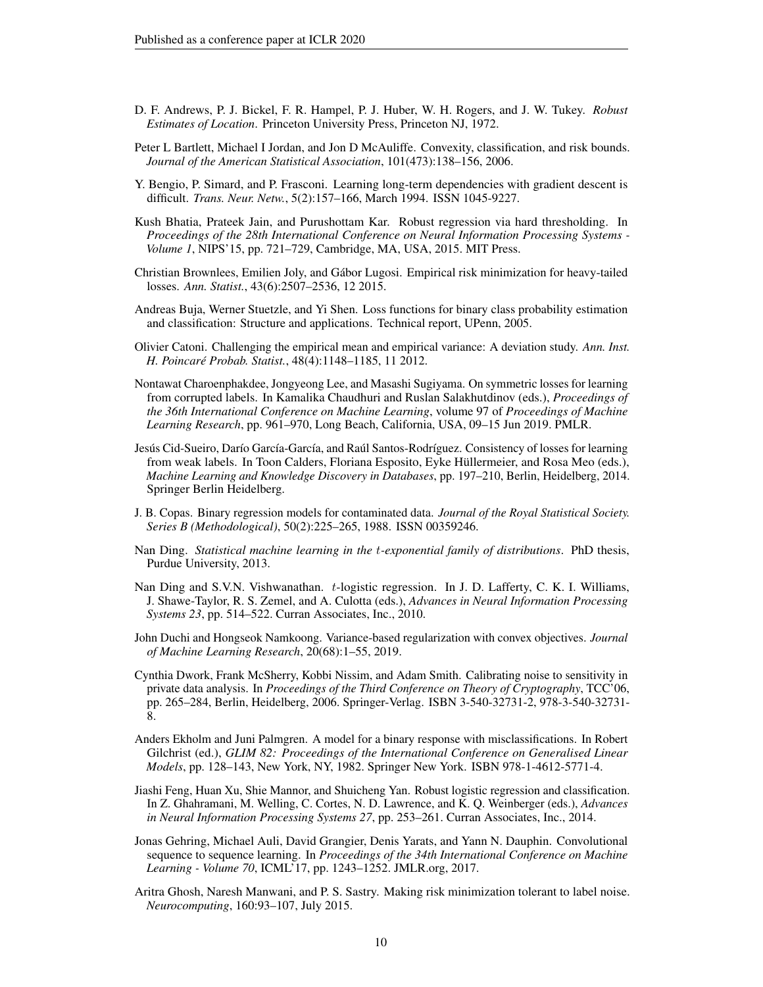- <span id="page-9-10"></span>D. F. Andrews, P. J. Bickel, F. R. Hampel, P. J. Huber, W. H. Rogers, and J. W. Tukey. *Robust Estimates of Location*. Princeton University Press, Princeton NJ, 1972.
- <span id="page-9-4"></span>Peter L Bartlett, Michael I Jordan, and Jon D McAuliffe. Convexity, classification, and risk bounds. *Journal of the American Statistical Association*, 101(473):138–156, 2006.
- <span id="page-9-1"></span>Y. Bengio, P. Simard, and P. Frasconi. Learning long-term dependencies with gradient descent is difficult. *Trans. Neur. Netw.*, 5(2):157–166, March 1994. ISSN 1045-9227.
- <span id="page-9-8"></span>Kush Bhatia, Prateek Jain, and Purushottam Kar. Robust regression via hard thresholding. In *Proceedings of the 28th International Conference on Neural Information Processing Systems - Volume 1*, NIPS'15, pp. 721–729, Cambridge, MA, USA, 2015. MIT Press.
- <span id="page-9-12"></span>Christian Brownlees, Emilien Joly, and Gábor Lugosi. Empirical risk minimization for heavy-tailed losses. *Ann. Statist.*, 43(6):2507–2536, 12 2015.
- <span id="page-9-17"></span>Andreas Buja, Werner Stuetzle, and Yi Shen. Loss functions for binary class probability estimation and classification: Structure and applications. Technical report, UPenn, 2005.
- <span id="page-9-13"></span>Olivier Catoni. Challenging the empirical mean and empirical variance: A deviation study. *Ann. Inst. H. Poincaré Probab. Statist.*, 48(4):1148–1185, 11 2012.
- <span id="page-9-3"></span>Nontawat Charoenphakdee, Jongyeong Lee, and Masashi Sugiyama. On symmetric losses for learning from corrupted labels. In Kamalika Chaudhuri and Ruslan Salakhutdinov (eds.), *Proceedings of the 36th International Conference on Machine Learning*, volume 97 of *Proceedings of Machine Learning Research*, pp. 961–970, Long Beach, California, USA, 09–15 Jun 2019. PMLR.
- <span id="page-9-7"></span>Jesús Cid-Sueiro, Darío García-García, and Raúl Santos-Rodríguez. Consistency of losses for learning from weak labels. In Toon Calders, Floriana Esposito, Eyke Hüllermeier, and Rosa Meo (eds.), *Machine Learning and Knowledge Discovery in Databases*, pp. 197–210, Berlin, Heidelberg, 2014. Springer Berlin Heidelberg.
- <span id="page-9-6"></span>J. B. Copas. Binary regression models for contaminated data. *Journal of the Royal Statistical Society. Series B (Methodological)*, 50(2):225–265, 1988. ISSN 00359246.
- <span id="page-9-15"></span>Nan Ding. *Statistical machine learning in the* t*-exponential family of distributions*. PhD thesis, Purdue University, 2013.
- <span id="page-9-9"></span>Nan Ding and S.V.N. Vishwanathan. t-logistic regression. In J. D. Lafferty, C. K. I. Williams, J. Shawe-Taylor, R. S. Zemel, and A. Culotta (eds.), *Advances in Neural Information Processing Systems 23*, pp. 514–522. Curran Associates, Inc., 2010.
- <span id="page-9-16"></span>John Duchi and Hongseok Namkoong. Variance-based regularization with convex objectives. *Journal of Machine Learning Research*, 20(68):1–55, 2019.
- <span id="page-9-2"></span>Cynthia Dwork, Frank McSherry, Kobbi Nissim, and Adam Smith. Calibrating noise to sensitivity in private data analysis. In *Proceedings of the Third Conference on Theory of Cryptography*, TCC'06, pp. 265–284, Berlin, Heidelberg, 2006. Springer-Verlag. ISBN 3-540-32731-2, 978-3-540-32731- 8.
- <span id="page-9-5"></span>Anders Ekholm and Juni Palmgren. A model for a binary response with misclassifications. In Robert Gilchrist (ed.), *GLIM 82: Proceedings of the International Conference on Generalised Linear Models*, pp. 128–143, New York, NY, 1982. Springer New York. ISBN 978-1-4612-5771-4.
- <span id="page-9-11"></span>Jiashi Feng, Huan Xu, Shie Mannor, and Shuicheng Yan. Robust logistic regression and classification. In Z. Ghahramani, M. Welling, C. Cortes, N. D. Lawrence, and K. Q. Weinberger (eds.), *Advances in Neural Information Processing Systems 27*, pp. 253–261. Curran Associates, Inc., 2014.
- <span id="page-9-0"></span>Jonas Gehring, Michael Auli, David Grangier, Denis Yarats, and Yann N. Dauphin. Convolutional sequence to sequence learning. In *Proceedings of the 34th International Conference on Machine Learning - Volume 70*, ICML'17, pp. 1243–1252. JMLR.org, 2017.
- <span id="page-9-14"></span>Aritra Ghosh, Naresh Manwani, and P. S. Sastry. Making risk minimization tolerant to label noise. *Neurocomputing*, 160:93–107, July 2015.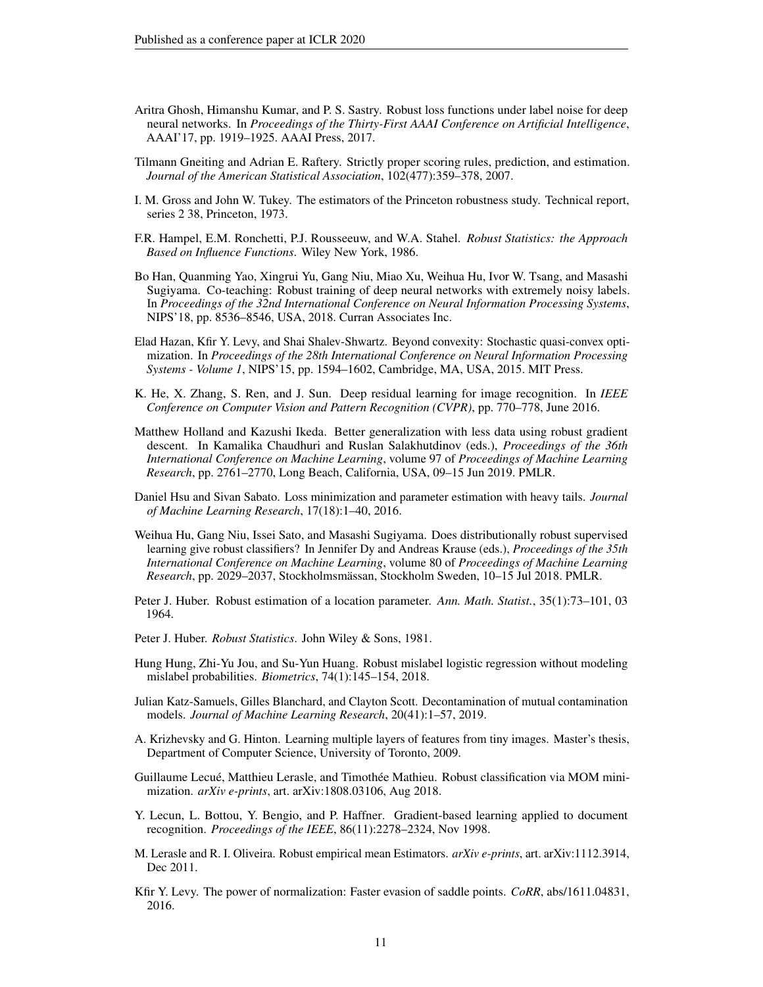- <span id="page-10-2"></span>Aritra Ghosh, Himanshu Kumar, and P. S. Sastry. Robust loss functions under label noise for deep neural networks. In *Proceedings of the Thirty-First AAAI Conference on Artificial Intelligence*, AAAI'17, pp. 1919–1925. AAAI Press, 2017.
- <span id="page-10-18"></span>Tilmann Gneiting and Adrian E. Raftery. Strictly proper scoring rules, prediction, and estimation. *Journal of the American Statistical Association*, 102(477):359–378, 2007.
- <span id="page-10-9"></span>I. M. Gross and John W. Tukey. The estimators of the Princeton robustness study. Technical report, series 2 38, Princeton, 1973.
- <span id="page-10-7"></span>F.R. Hampel, E.M. Ronchetti, P.J. Rousseeuw, and W.A. Stahel. *Robust Statistics: the Approach Based on Influence Functions*. Wiley New York, 1986.
- <span id="page-10-3"></span>Bo Han, Quanming Yao, Xingrui Yu, Gang Niu, Miao Xu, Weihua Hu, Ivor W. Tsang, and Masashi Sugiyama. Co-teaching: Robust training of deep neural networks with extremely noisy labels. In *Proceedings of the 32nd International Conference on Neural Information Processing Systems*, NIPS'18, pp. 8536–8546, USA, 2018. Curran Associates Inc.
- <span id="page-10-0"></span>Elad Hazan, Kfir Y. Levy, and Shai Shalev-Shwartz. Beyond convexity: Stochastic quasi-convex optimization. In *Proceedings of the 28th International Conference on Neural Information Processing Systems - Volume 1*, NIPS'15, pp. 1594–1602, Cambridge, MA, USA, 2015. MIT Press.
- <span id="page-10-16"></span>K. He, X. Zhang, S. Ren, and J. Sun. Deep residual learning for image recognition. In *IEEE Conference on Computer Vision and Pattern Recognition (CVPR)*, pp. 770–778, June 2016.
- <span id="page-10-12"></span>Matthew Holland and Kazushi Ikeda. Better generalization with less data using robust gradient descent. In Kamalika Chaudhuri and Ruslan Salakhutdinov (eds.), *Proceedings of the 36th International Conference on Machine Learning*, volume 97 of *Proceedings of Machine Learning Research*, pp. 2761–2770, Long Beach, California, USA, 09–15 Jun 2019. PMLR.
- <span id="page-10-10"></span>Daniel Hsu and Sivan Sabato. Loss minimization and parameter estimation with heavy tails. *Journal of Machine Learning Research*, 17(18):1–40, 2016.
- <span id="page-10-17"></span>Weihua Hu, Gang Niu, Issei Sato, and Masashi Sugiyama. Does distributionally robust supervised learning give robust classifiers? In Jennifer Dy and Andreas Krause (eds.), *Proceedings of the 35th International Conference on Machine Learning*, volume 80 of *Proceedings of Machine Learning Research*, pp. 2029–2037, Stockholmsmässan, Stockholm Sweden, 10–15 Jul 2018. PMLR.
- <span id="page-10-5"></span>Peter J. Huber. Robust estimation of a location parameter. *Ann. Math. Statist.*, 35(1):73–101, 03 1964.
- <span id="page-10-6"></span>Peter J. Huber. *Robust Statistics*. John Wiley & Sons, 1981.
- <span id="page-10-8"></span>Hung Hung, Zhi-Yu Jou, and Su-Yun Huang. Robust mislabel logistic regression without modeling mislabel probabilities. *Biometrics*, 74(1):145–154, 2018.
- <span id="page-10-4"></span>Julian Katz-Samuels, Gilles Blanchard, and Clayton Scott. Decontamination of mutual contamination models. *Journal of Machine Learning Research*, 20(41):1–57, 2019.
- <span id="page-10-14"></span>A. Krizhevsky and G. Hinton. Learning multiple layers of features from tiny images. Master's thesis, Department of Computer Science, University of Toronto, 2009.
- <span id="page-10-11"></span>Guillaume Lecué, Matthieu Lerasle, and Timothée Mathieu. Robust classification via MOM minimization. *arXiv e-prints*, art. arXiv:1808.03106, Aug 2018.
- <span id="page-10-15"></span>Y. Lecun, L. Bottou, Y. Bengio, and P. Haffner. Gradient-based learning applied to document recognition. *Proceedings of the IEEE*, 86(11):2278–2324, Nov 1998.
- <span id="page-10-13"></span>M. Lerasle and R. I. Oliveira. Robust empirical mean Estimators. *arXiv e-prints*, art. arXiv:1112.3914, Dec 2011.
- <span id="page-10-1"></span>Kfir Y. Levy. The power of normalization: Faster evasion of saddle points. *CoRR*, abs/1611.04831, 2016.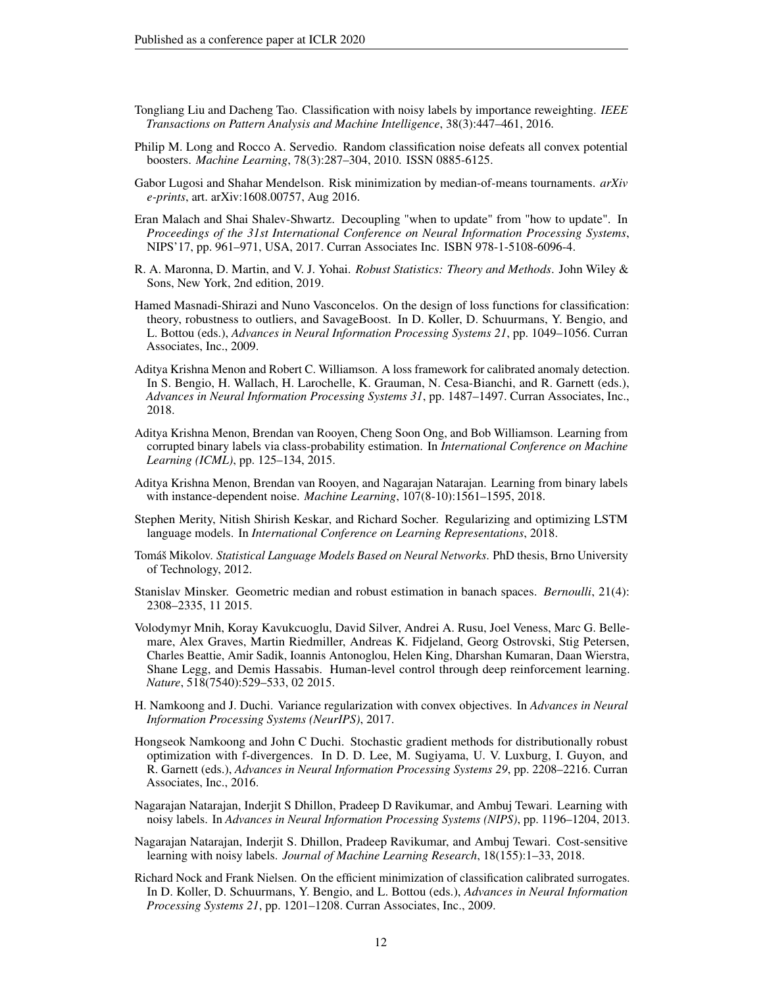- <span id="page-11-5"></span>Tongliang Liu and Dacheng Tao. Classification with noisy labels by importance reweighting. *IEEE Transactions on Pattern Analysis and Machine Intelligence*, 38(3):447–461, 2016.
- <span id="page-11-9"></span>Philip M. Long and Rocco A. Servedio. Random classification noise defeats all convex potential boosters. *Machine Learning*, 78(3):287–304, 2010. ISSN 0885-6125.
- <span id="page-11-13"></span>Gabor Lugosi and Shahar Mendelson. Risk minimization by median-of-means tournaments. *arXiv e-prints*, art. arXiv:1608.00757, Aug 2016.
- <span id="page-11-8"></span>Eran Malach and Shai Shalev-Shwartz. Decoupling "when to update" from "how to update". In *Proceedings of the 31st International Conference on Neural Information Processing Systems*, NIPS'17, pp. 961–971, USA, 2017. Curran Associates Inc. ISBN 978-1-5108-6096-4.
- <span id="page-11-10"></span>R. A. Maronna, D. Martin, and V. J. Yohai. *Robust Statistics: Theory and Methods*. John Wiley & Sons, New York, 2nd edition, 2019.
- <span id="page-11-11"></span>Hamed Masnadi-Shirazi and Nuno Vasconcelos. On the design of loss functions for classification: theory, robustness to outliers, and SavageBoost. In D. Koller, D. Schuurmans, Y. Bengio, and L. Bottou (eds.), *Advances in Neural Information Processing Systems 21*, pp. 1049–1056. Curran Associates, Inc., 2009.
- <span id="page-11-12"></span>Aditya Krishna Menon and Robert C. Williamson. A loss framework for calibrated anomaly detection. In S. Bengio, H. Wallach, H. Larochelle, K. Grauman, N. Cesa-Bianchi, and R. Garnett (eds.), *Advances in Neural Information Processing Systems 31*, pp. 1487–1497. Curran Associates, Inc., 2018.
- <span id="page-11-4"></span>Aditya Krishna Menon, Brendan van Rooyen, Cheng Soon Ong, and Bob Williamson. Learning from corrupted binary labels via class-probability estimation. In *International Conference on Machine Learning (ICML)*, pp. 125–134, 2015.
- <span id="page-11-15"></span>Aditya Krishna Menon, Brendan van Rooyen, and Nagarajan Natarajan. Learning from binary labels with instance-dependent noise. *Machine Learning*, 107(8-10):1561–1595, 2018.
- <span id="page-11-2"></span>Stephen Merity, Nitish Shirish Keskar, and Richard Socher. Regularizing and optimizing LSTM language models. In *International Conference on Learning Representations*, 2018.
- <span id="page-11-0"></span>Tomáš Mikolov. *Statistical Language Models Based on Neural Networks*. PhD thesis, Brno University of Technology, 2012.
- <span id="page-11-14"></span>Stanislav Minsker. Geometric median and robust estimation in banach spaces. *Bernoulli*, 21(4): 2308–2335, 11 2015.
- <span id="page-11-1"></span>Volodymyr Mnih, Koray Kavukcuoglu, David Silver, Andrei A. Rusu, Joel Veness, Marc G. Bellemare, Alex Graves, Martin Riedmiller, Andreas K. Fidjeland, Georg Ostrovski, Stig Petersen, Charles Beattie, Amir Sadik, Ioannis Antonoglou, Helen King, Dharshan Kumaran, Daan Wierstra, Shane Legg, and Demis Hassabis. Human-level control through deep reinforcement learning. *Nature*, 518(7540):529–533, 02 2015.
- <span id="page-11-17"></span>H. Namkoong and J. Duchi. Variance regularization with convex objectives. In *Advances in Neural Information Processing Systems (NeurIPS)*, 2017.
- <span id="page-11-16"></span>Hongseok Namkoong and John C Duchi. Stochastic gradient methods for distributionally robust optimization with f-divergences. In D. D. Lee, M. Sugiyama, U. V. Luxburg, I. Guyon, and R. Garnett (eds.), *Advances in Neural Information Processing Systems 29*, pp. 2208–2216. Curran Associates, Inc., 2016.
- <span id="page-11-3"></span>Nagarajan Natarajan, Inderjit S Dhillon, Pradeep D Ravikumar, and Ambuj Tewari. Learning with noisy labels. In *Advances in Neural Information Processing Systems (NIPS)*, pp. 1196–1204, 2013.
- <span id="page-11-7"></span>Nagarajan Natarajan, Inderjit S. Dhillon, Pradeep Ravikumar, and Ambuj Tewari. Cost-sensitive learning with noisy labels. *Journal of Machine Learning Research*, 18(155):1–33, 2018.
- <span id="page-11-6"></span>Richard Nock and Frank Nielsen. On the efficient minimization of classification calibrated surrogates. In D. Koller, D. Schuurmans, Y. Bengio, and L. Bottou (eds.), *Advances in Neural Information Processing Systems 21*, pp. 1201–1208. Curran Associates, Inc., 2009.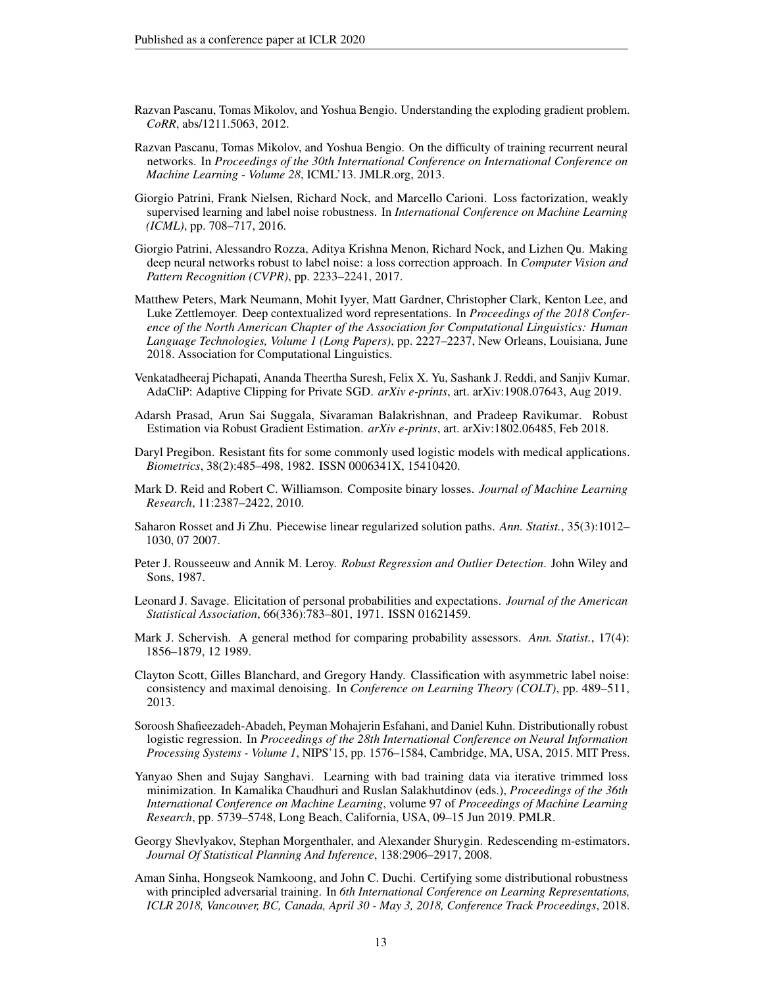- <span id="page-12-0"></span>Razvan Pascanu, Tomas Mikolov, and Yoshua Bengio. Understanding the exploding gradient problem. *CoRR*, abs/1211.5063, 2012.
- <span id="page-12-1"></span>Razvan Pascanu, Tomas Mikolov, and Yoshua Bengio. On the difficulty of training recurrent neural networks. In *Proceedings of the 30th International Conference on International Conference on Machine Learning - Volume 28*, ICML'13. JMLR.org, 2013.
- <span id="page-12-13"></span>Giorgio Patrini, Frank Nielsen, Richard Nock, and Marcello Carioni. Loss factorization, weakly supervised learning and label noise robustness. In *International Conference on Machine Learning (ICML)*, pp. 708–717, 2016.
- <span id="page-12-5"></span>Giorgio Patrini, Alessandro Rozza, Aditya Krishna Menon, Richard Nock, and Lizhen Qu. Making deep neural networks robust to label noise: a loss correction approach. In *Computer Vision and Pattern Recognition (CVPR)*, pp. 2233–2241, 2017.
- <span id="page-12-2"></span>Matthew Peters, Mark Neumann, Mohit Iyyer, Matt Gardner, Christopher Clark, Kenton Lee, and Luke Zettlemoyer. Deep contextualized word representations. In *Proceedings of the 2018 Conference of the North American Chapter of the Association for Computational Linguistics: Human Language Technologies, Volume 1 (Long Papers)*, pp. 2227–2237, New Orleans, Louisiana, June 2018. Association for Computational Linguistics.
- <span id="page-12-3"></span>Venkatadheeraj Pichapati, Ananda Theertha Suresh, Felix X. Yu, Sashank J. Reddi, and Sanjiv Kumar. AdaCliP: Adaptive Clipping for Private SGD. *arXiv e-prints*, art. arXiv:1908.07643, Aug 2019.
- <span id="page-12-12"></span>Adarsh Prasad, Arun Sai Suggala, Sivaraman Balakrishnan, and Pradeep Ravikumar. Robust Estimation via Robust Gradient Estimation. *arXiv e-prints*, art. arXiv:1802.06485, Feb 2018.
- <span id="page-12-11"></span>Daryl Pregibon. Resistant fits for some commonly used logistic models with medical applications. *Biometrics*, 38(2):485–498, 1982. ISSN 0006341X, 15410420.
- <span id="page-12-6"></span>Mark D. Reid and Robert C. Williamson. Composite binary losses. *Journal of Machine Learning Research*, 11:2387–2422, 2010.
- <span id="page-12-7"></span>Saharon Rosset and Ji Zhu. Piecewise linear regularized solution paths. *Ann. Statist.*, 35(3):1012– 1030, 07 2007.
- <span id="page-12-8"></span>Peter J. Rousseeuw and Annik M. Leroy. *Robust Regression and Outlier Detection*. John Wiley and Sons, 1987.
- <span id="page-12-16"></span>Leonard J. Savage. Elicitation of personal probabilities and expectations. *Journal of the American Statistical Association*, 66(336):783–801, 1971. ISSN 01621459.
- <span id="page-12-17"></span>Mark J. Schervish. A general method for comparing probability assessors. *Ann. Statist.*, 17(4): 1856–1879, 12 1989.
- <span id="page-12-4"></span>Clayton Scott, Gilles Blanchard, and Gregory Handy. Classification with asymmetric label noise: consistency and maximal denoising. In *Conference on Learning Theory (COLT)*, pp. 489–511, 2013.
- <span id="page-12-14"></span>Soroosh Shafieezadeh-Abadeh, Peyman Mohajerin Esfahani, and Daniel Kuhn. Distributionally robust logistic regression. In *Proceedings of the 28th International Conference on Neural Information Processing Systems - Volume 1*, NIPS'15, pp. 1576–1584, Cambridge, MA, USA, 2015. MIT Press.
- <span id="page-12-9"></span>Yanyao Shen and Sujay Sanghavi. Learning with bad training data via iterative trimmed loss minimization. In Kamalika Chaudhuri and Ruslan Salakhutdinov (eds.), *Proceedings of the 36th International Conference on Machine Learning*, volume 97 of *Proceedings of Machine Learning Research*, pp. 5739–5748, Long Beach, California, USA, 09–15 Jun 2019. PMLR.
- <span id="page-12-10"></span>Georgy Shevlyakov, Stephan Morgenthaler, and Alexander Shurygin. Redescending m-estimators. *Journal Of Statistical Planning And Inference*, 138:2906–2917, 2008.
- <span id="page-12-15"></span>Aman Sinha, Hongseok Namkoong, and John C. Duchi. Certifying some distributional robustness with principled adversarial training. In *6th International Conference on Learning Representations, ICLR 2018, Vancouver, BC, Canada, April 30 - May 3, 2018, Conference Track Proceedings*, 2018.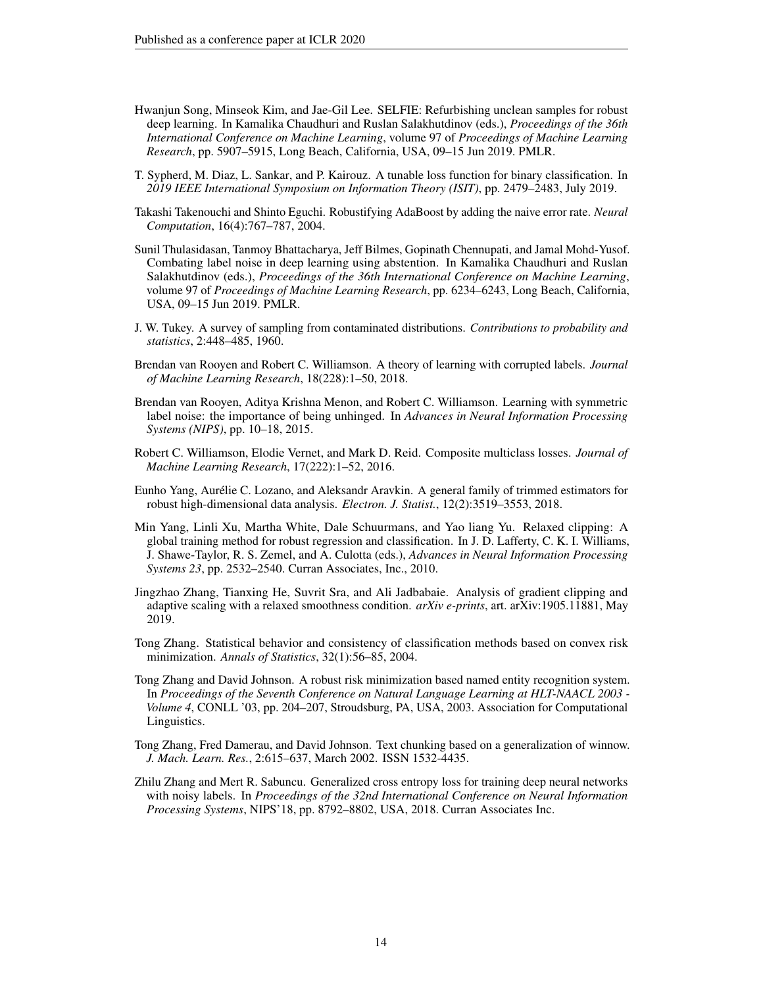- <span id="page-13-2"></span>Hwanjun Song, Minseok Kim, and Jae-Gil Lee. SELFIE: Refurbishing unclean samples for robust deep learning. In Kamalika Chaudhuri and Ruslan Salakhutdinov (eds.), *Proceedings of the 36th International Conference on Machine Learning*, volume 97 of *Proceedings of Machine Learning Research*, pp. 5907–5915, Long Beach, California, USA, 09–15 Jun 2019. PMLR.
- <span id="page-13-11"></span>T. Sypherd, M. Diaz, L. Sankar, and P. Kairouz. A tunable loss function for binary classification. In *2019 IEEE International Symposium on Information Theory (ISIT)*, pp. 2479–2483, July 2019.
- <span id="page-13-5"></span>Takashi Takenouchi and Shinto Eguchi. Robustifying AdaBoost by adding the naive error rate. *Neural Computation*, 16(4):767–787, 2004.
- <span id="page-13-3"></span>Sunil Thulasidasan, Tanmoy Bhattacharya, Jeff Bilmes, Gopinath Chennupati, and Jamal Mohd-Yusof. Combating label noise in deep learning using abstention. In Kamalika Chaudhuri and Ruslan Salakhutdinov (eds.), *Proceedings of the 36th International Conference on Machine Learning*, volume 97 of *Proceedings of Machine Learning Research*, pp. 6234–6243, Long Beach, California, USA, 09–15 Jun 2019. PMLR.
- <span id="page-13-13"></span>J. W. Tukey. A survey of sampling from contaminated distributions. *Contributions to probability and statistics*, 2:448–485, 1960.
- <span id="page-13-6"></span>Brendan van Rooyen and Robert C. Williamson. A theory of learning with corrupted labels. *Journal of Machine Learning Research*, 18(228):1–50, 2018.
- <span id="page-13-9"></span>Brendan van Rooyen, Aditya Krishna Menon, and Robert C. Williamson. Learning with symmetric label noise: the importance of being unhinged. In *Advances in Neural Information Processing Systems (NIPS)*, pp. 10–18, 2015.
- <span id="page-13-14"></span>Robert C. Williamson, Elodie Vernet, and Mark D. Reid. Composite multiclass losses. *Journal of Machine Learning Research*, 17(222):1–52, 2016.
- <span id="page-13-10"></span>Eunho Yang, Aurélie C. Lozano, and Aleksandr Aravkin. A general family of trimmed estimators for robust high-dimensional data analysis. *Electron. J. Statist.*, 12(2):3519–3553, 2018.
- <span id="page-13-12"></span>Min Yang, Linli Xu, Martha White, Dale Schuurmans, and Yao liang Yu. Relaxed clipping: A global training method for robust regression and classification. In J. D. Lafferty, C. K. I. Williams, J. Shawe-Taylor, R. S. Zemel, and A. Culotta (eds.), *Advances in Neural Information Processing Systems 23*, pp. 2532–2540. Curran Associates, Inc., 2010.
- <span id="page-13-0"></span>Jingzhao Zhang, Tianxing He, Suvrit Sra, and Ali Jadbabaie. Analysis of gradient clipping and adaptive scaling with a relaxed smoothness condition. *arXiv e-prints*, art. arXiv:1905.11881, May 2019.
- <span id="page-13-4"></span>Tong Zhang. Statistical behavior and consistency of classification methods based on convex risk minimization. *Annals of Statistics*, 32(1):56–85, 2004.
- <span id="page-13-8"></span>Tong Zhang and David Johnson. A robust risk minimization based named entity recognition system. In *Proceedings of the Seventh Conference on Natural Language Learning at HLT-NAACL 2003 - Volume 4*, CONLL '03, pp. 204–207, Stroudsburg, PA, USA, 2003. Association for Computational Linguistics.
- <span id="page-13-7"></span>Tong Zhang, Fred Damerau, and David Johnson. Text chunking based on a generalization of winnow. *J. Mach. Learn. Res.*, 2:615–637, March 2002. ISSN 1532-4435.
- <span id="page-13-1"></span>Zhilu Zhang and Mert R. Sabuncu. Generalized cross entropy loss for training deep neural networks with noisy labels. In *Proceedings of the 32nd International Conference on Neural Information Processing Systems*, NIPS'18, pp. 8792–8802, USA, 2018. Curran Associates Inc.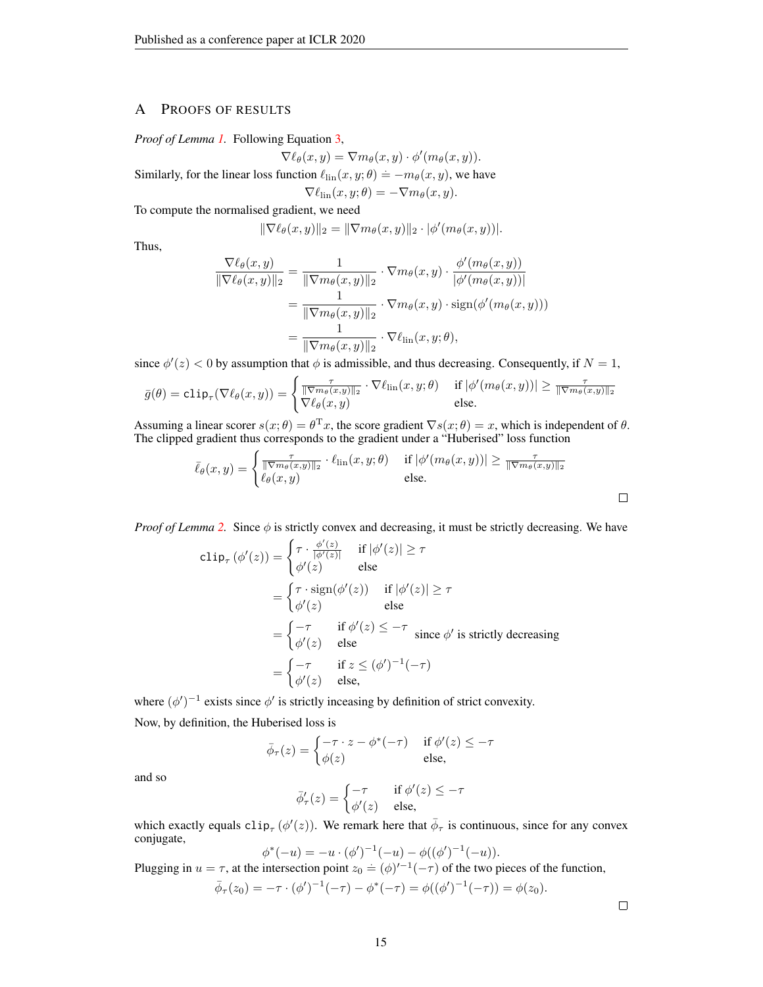# A PROOFS OF RESULTS

*Proof of Lemma [1.](#page-2-0)* Following Equation [3,](#page-2-2)

$$
\nabla \ell_{\theta}(x, y) = \nabla m_{\theta}(x, y) \cdot \phi'(m_{\theta}(x, y)).
$$

Similarly, for the linear loss function  $\ell_{\text{lin}}(x, y; \theta) \doteq -m_{\theta}(x, y)$ , we have

$$
\nabla \ell_{\rm lin}(x, y; \theta) = -\nabla m_{\theta}(x, y).
$$

To compute the normalised gradient, we need

$$
\|\nabla \ell_{\theta}(x, y)\|_2 = \|\nabla m_{\theta}(x, y)\|_2 \cdot |\phi'(m_{\theta}(x, y))|.
$$

Thus,

$$
\frac{\nabla \ell_{\theta}(x, y)}{\|\nabla \ell_{\theta}(x, y)\|_{2}} = \frac{1}{\|\nabla m_{\theta}(x, y)\|_{2}} \cdot \nabla m_{\theta}(x, y) \cdot \frac{\phi'(m_{\theta}(x, y))}{|\phi'(m_{\theta}(x, y))|}
$$

$$
= \frac{1}{\|\nabla m_{\theta}(x, y)\|_{2}} \cdot \nabla m_{\theta}(x, y) \cdot \text{sign}(\phi'(m_{\theta}(x, y)))
$$

$$
= \frac{1}{\|\nabla m_{\theta}(x, y)\|_{2}} \cdot \nabla \ell_{\text{lin}}(x, y; \theta),
$$

since  $\phi'(z) < 0$  by assumption that  $\phi$  is admissible, and thus decreasing. Consequently, if  $N = 1$ ,

$$
\bar{g}(\theta) = \text{clip}_{\tau}(\nabla \ell_{\theta}(x, y)) = \begin{cases} \frac{\tau}{\|\nabla m_{\theta}(x, y)\|_{2}} \cdot \nabla \ell_{\text{lin}}(x, y; \theta) & \text{if } |\phi'(m_{\theta}(x, y))| \ge \frac{\tau}{\|\nabla m_{\theta}(x, y)\|_{2}} \\ \nabla \ell_{\theta}(x, y) & \text{else.} \end{cases}
$$

Assuming a linear scorer  $s(x; \theta) = \theta^{\mathrm{T}} x$ , the score gradient  $\nabla s(x; \theta) = x$ , which is independent of  $\theta$ . The clipped gradient thus corresponds to the gradient under a "Huberised" loss function

$$
\bar{\ell}_{\theta}(x,y) = \begin{cases} \frac{\tau}{\|\nabla m_{\theta}(x,y)\|_2} \cdot \ell_{\text{lin}}(x,y;\theta) & \text{if } |\phi'(m_{\theta}(x,y))| \ge \frac{\tau}{\|\nabla m_{\theta}(x,y)\|_2} \\ \ell_{\theta}(x,y) & \text{else.} \end{cases}
$$

*Proof of Lemma* [2.](#page-3-0) Since  $\phi$  is strictly convex and decreasing, it must be strictly decreasing. We have

$$
\text{clip}_{\tau}(\phi'(z)) = \begin{cases} \tau \cdot \frac{\phi'(z)}{|\phi'(z)|} & \text{if } |\phi'(z)| \ge \tau \\ \phi'(z) & \text{else} \end{cases}
$$
\n
$$
= \begin{cases} \tau \cdot \text{sign}(\phi'(z)) & \text{if } |\phi'(z)| \ge \tau \\ \phi'(z) & \text{else} \end{cases}
$$
\n
$$
= \begin{cases} -\tau & \text{if } \phi'(z) \le -\tau \\ \phi'(z) & \text{else} \end{cases} \text{ since } \phi' \text{ is strictly decreasing}
$$
\n
$$
= \begin{cases} -\tau & \text{if } z \le (\phi')^{-1}(-\tau) \\ \phi'(z) & \text{else,} \end{cases}
$$

where  $(\phi')^{-1}$  exists since  $\phi'$  is strictly inceasing by definition of strict convexity. Now, by definition, the Huberised loss is

$$
\bar{\phi}_{\tau}(z) = \begin{cases}\n-\tau \cdot z - \phi^*(-\tau) & \text{if } \phi'(z) \leq -\tau \\
\phi(z) & \text{else,} \n\end{cases}
$$

and so

$$
\bar{\phi}'_{\tau}(z) = \begin{cases}\n-\tau & \text{if } \phi'(z) \leq -\tau \\
\phi'(z) & \text{else,} \n\end{cases}
$$

which exactly equals  $\text{clip}_{\tau}(\phi'(z))$ . We remark here that  $\bar{\phi}_{\tau}$  is continuous, since for any convex conjugate,

$$
\phi^*(-u) = -u \cdot (\phi')^{-1}(-u) - \phi((\phi')^{-1}(-u)).
$$

Plugging in  $u = \tau$ , at the intersection point  $z_0 = (\phi)^{t-1}(-\tau)$  of the two pieces of the function,

$$
\bar{\phi}_{\tau}(z_0) = -\tau \cdot (\phi')^{-1}(-\tau) - \phi^*(-\tau) = \phi((\phi')^{-1}(-\tau)) = \phi(z_0).
$$

 $\Box$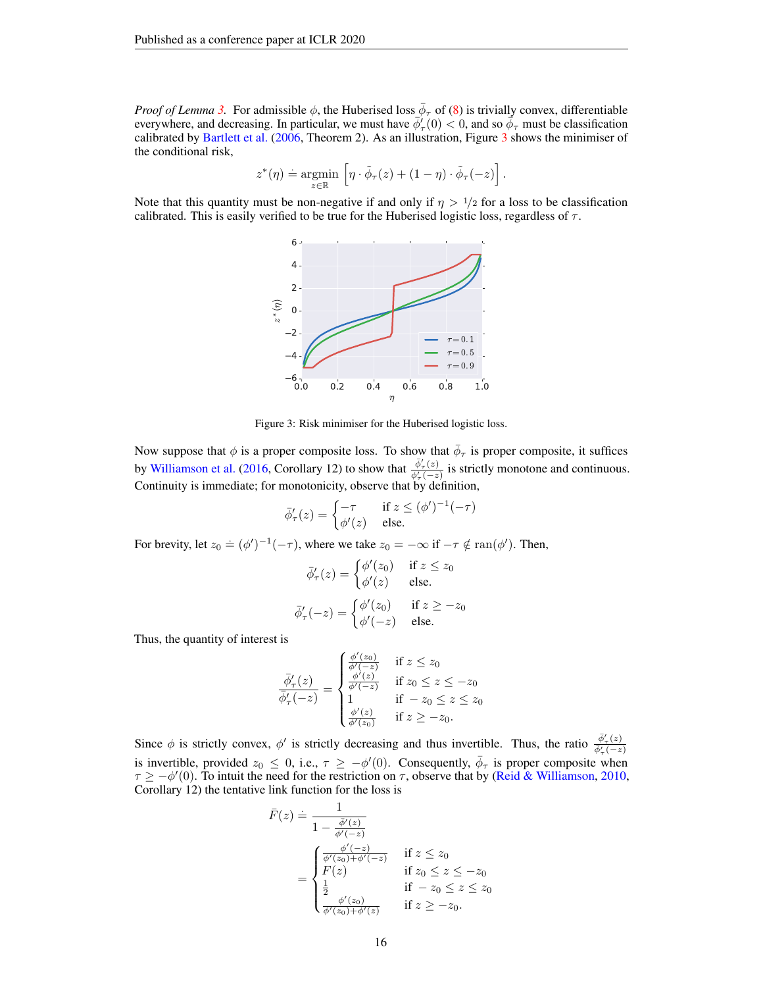*Proof of Lemma [3.](#page-3-1)* For admissible  $\phi$ , the Huberised loss  $\bar{\phi}_{\tau}$  of [\(8\)](#page-3-4) is trivially convex, differentiable everywhere, and decreasing. In particular, we must have  $\phi'_{\tau}(0) < 0$ , and so  $\phi_{\tau}$  must be classification calibrated by [Bartlett et al.](#page-9-4) [\(2006,](#page-9-4) Theorem 2). As an illustration, Figure [3](#page-15-0) shows the minimiser of the conditional risk,

$$
z^*(\eta) \doteq \underset{z \in \mathbb{R}}{\operatorname{argmin}} \left[ \eta \cdot \tilde{\phi}_\tau(z) + (1 - \eta) \cdot \tilde{\phi}_\tau(-z) \right].
$$

<span id="page-15-0"></span>Note that this quantity must be non-negative if and only if  $\eta > 1/2$  for a loss to be classification calibrated. This is easily verified to be true for the Huberised logistic loss, regardless of  $\tau$ .



Figure 3: Risk minimiser for the Huberised logistic loss.

Now suppose that  $\phi$  is a proper composite loss. To show that  $\bar{\phi}_{\tau}$  is proper composite, it suffices by [Williamson et al.](#page-13-14) [\(2016,](#page-13-14) Corollary 12) to show that  $\frac{\phi'_\tau(z)}{\phi'_\tau(-z)}$  is strictly monotone and continuous. Continuity is immediate; for monotonicity, observe that by definition,

$$
\bar{\phi}'_{\tau}(z) = \begin{cases}\n-\tau & \text{if } z \le (\phi')^{-1}(-\tau) \\
\phi'(z) & \text{else.} \n\end{cases}
$$

For brevity, let  $z_0 \doteq (\phi')^{-1}(-\tau)$ , where we take  $z_0 = -\infty$  if  $-\tau \notin \text{ran}(\phi')$ . Then,

$$
\bar{\phi}'_{\tau}(z) = \begin{cases}\n\phi'(z_0) & \text{if } z \le z_0 \\
\phi'(z) & \text{else.} \n\end{cases}
$$
\n
$$
\bar{\phi}'_{\tau}(-z) = \begin{cases}\n\phi'(z_0) & \text{if } z \ge -z_0 \\
\phi'(-z) & \text{else.} \n\end{cases}
$$

Thus, the quantity of interest is

$$
\frac{\overline{\phi}_{\tau}'(z)}{\overline{\phi}_{\tau}'(-z)} = \begin{cases}\n\frac{\phi'(z_0)}{\phi'(z)} & \text{if } z \le z_0 \\
\frac{\phi'(z)}{\phi'(-z)} & \text{if } z_0 \le z \le -z_0 \\
1 & \text{if } -z_0 \le z \le z_0 \\
\frac{\phi'(z)}{\phi'(z_0)} & \text{if } z \ge -z_0.\n\end{cases}
$$

Since  $\phi$  is strictly convex,  $\phi'$  is strictly decreasing and thus invertible. Thus, the ratio  $\frac{\bar{\phi}'_r(z)}{\bar{\phi}'_r(-z)}$ is invertible, provided  $z_0 \le 0$ , i.e.,  $\tau \ge -\phi'(0)$ . Consequently,  $\bar{\phi}_{\tau}$  is proper composite when  $\tau \ge -\phi'(0)$ . To intuit the need for the restriction on  $\tau$ , observe that by [\(Reid & Williamson,](#page-12-6) [2010,](#page-12-6) Corollary 12) the tentative link function for the loss is

$$
\bar{F}(z) \doteq \frac{1}{1 - \frac{\bar{\phi}'(z)}{\bar{\phi}'(z)}} \n= \begin{cases}\n\frac{\phi'(z)}{\phi'(z_0) + \phi'(-z)} & \text{if } z \le z_0 \\
F(z) & \text{if } z_0 \le z \le -z_0 \\
\frac{1}{2} & \text{if } -z_0 \le z \le z_0 \\
\frac{\phi'(z_0)}{\phi'(z_0) + \phi'(z)} & \text{if } z \ge -z_0.\n\end{cases}
$$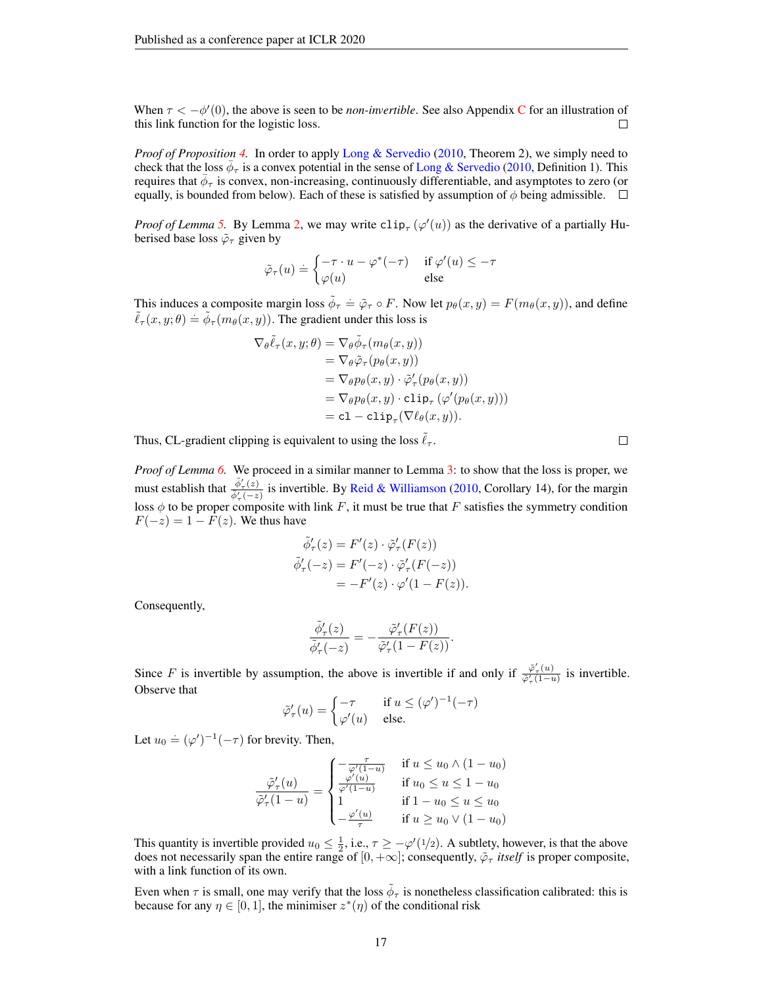When  $\tau < -\phi'(0)$ , the above is seen to be *non-invertible*. See also Appendix [C](#page-20-0) for an illustration of this link function for the logistic loss.  $\Box$ 

*Proof of Proposition [4.](#page-4-0)* In order to apply [Long & Servedio](#page-11-9) [\(2010,](#page-11-9) Theorem 2), we simply need to check that the loss  $\bar{\phi}_{\tau}$  is a convex potential in the sense of [Long & Servedio](#page-11-9) [\(2010,](#page-11-9) Definition 1). This requires that  $\bar{\phi}_{\tau}$  is convex, non-increasing, continuously differentiable, and asymptotes to zero (or equally, is bounded from below). Each of these is satisfied by assumption of  $\phi$  being admissible.  $\Box$ 

*Proof of Lemma* [5.](#page-4-6) By Lemma [2,](#page-3-0) we may write  $\text{clip}_{\tau}(\varphi'(u))$  as the derivative of a partially Huberised base loss  $\tilde{\varphi}_{\tau}$  given by

$$
\tilde{\varphi}_{\tau}(u) \doteq \begin{cases}\n-\tau \cdot u - \varphi^*(-\tau) & \text{if } \varphi'(u) \leq -\tau \\
\varphi(u) & \text{else}\n\end{cases}
$$

This induces a composite margin loss  $\tilde{\phi}_{\tau} \doteq \tilde{\varphi}_{\tau} \circ F$ . Now let  $p_{\theta}(x, y) = F(m_{\theta}(x, y))$ , and define  $\tilde{\ell}_{\tau}(x, y; \theta) = \tilde{\phi}_{\tau}(m_{\theta}(x, y))$ . The gradient under this loss is

$$
\nabla_{\theta}\tilde{\ell}_{\tau}(x, y; \theta) = \nabla_{\theta}\tilde{\phi}_{\tau}(m_{\theta}(x, y))
$$
  
\n
$$
= \nabla_{\theta}\tilde{\varphi}_{\tau}(p_{\theta}(x, y))
$$
  
\n
$$
= \nabla_{\theta}p_{\theta}(x, y) \cdot \tilde{\varphi}'_{\tau}(p_{\theta}(x, y))
$$
  
\n
$$
= \nabla_{\theta}p_{\theta}(x, y) \cdot \text{clip}_{\tau}(\varphi'(p_{\theta}(x, y)))
$$
  
\n
$$
= \text{cl} - \text{clip}_{\tau}(\nabla\ell_{\theta}(x, y)).
$$

Thus, CL-gradient clipping is equivalent to using the loss  $\ell_{\tau}$ .

*Proof of Lemma [6.](#page-5-0)* We proceed in a similar manner to Lemma [3:](#page-3-1) to show that the loss is proper, we must establish that  $\frac{\tilde{\phi}'_r(z)}{\tilde{\phi}'_r(-z)}$  is invertible. By [Reid & Williamson](#page-12-6) [\(2010,](#page-12-6) Corollary 14), for the margin loss  $\phi$  to be proper composite with link F, it must be true that F satisfies the symmetry condition  $F(-z) = 1 - F(z)$ . We thus have

$$
\begin{aligned}\n\tilde{\phi}'_{\tau}(z) &= F'(z) \cdot \tilde{\varphi}'_{\tau}(F(z)) \\
\tilde{\phi}'_{\tau}(-z) &= F'(-z) \cdot \tilde{\varphi}'_{\tau}(F(-z)) \\
&= -F'(z) \cdot \varphi'(1 - F(z)).\n\end{aligned}
$$

Consequently,

$$
\frac{\tilde{\phi}'_{\tau}(z)}{\tilde{\phi}'_{\tau}(-z)} = -\frac{\tilde{\varphi}'_{\tau}(F(z))}{\tilde{\varphi}'_{\tau}(1 - F(z))}.
$$

Since F is invertible by assumption, the above is invertible if and only if  $\frac{\tilde{\varphi}'_r(u)}{\tilde{\varphi}'(1-r)}$  $\frac{\varphi_{\tau}(u)}{\tilde{\varphi}'_{\tau}(1-u)}$  is invertible. Observe that

$$
\tilde{\varphi}'_{\tau}(u) = \begin{cases}\n-\tau & \text{if } u \leq (\varphi')^{-1}(-\tau) \\
\varphi'(u) & \text{else.} \n\end{cases}
$$

Let  $u_0 \doteq (\varphi')^{-1}(-\tau)$  for brevity. Then,

$$
\frac{\tilde{\varphi}'_{\tau}(u)}{\tilde{\varphi}'_{\tau}(1-u)} = \begin{cases}\n-\frac{\tau}{\varphi'(1-u)} & \text{if } u \leq u_0 \wedge (1-u_0) \\
\frac{\varphi'(u)}{\varphi'(1-u)} & \text{if } u_0 \leq u \leq 1-u_0 \\
1 & \text{if } 1-u_0 \leq u \leq u_0 \\
-\frac{\varphi'(u)}{\tau} & \text{if } u \geq u_0 \vee (1-u_0)\n\end{cases}
$$

This quantity is invertible provided  $u_0 \leq \frac{1}{2}$ , i.e.,  $\tau \geq -\varphi'(1/2)$ . A subtlety, however, is that the above does not necessarily span the entire range of  $[0, +\infty]$ ; consequently,  $\tilde{\varphi}_{\tau}$  *itself* is proper composite, with a link function of its own.

Even when  $\tau$  is small, one may verify that the loss  $\tilde{\phi}_{\tau}$  is nonetheless classification calibrated: this is because for any  $\eta \in [0, 1]$ , the minimiser  $z^*(\eta)$  of the conditional risk

 $\Box$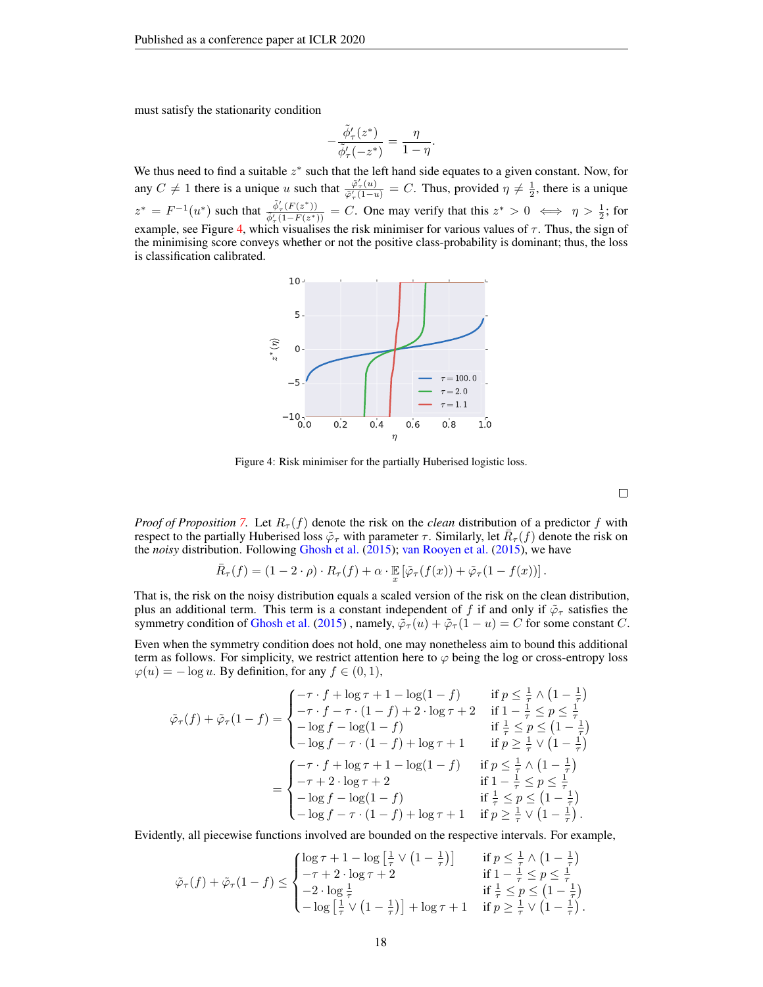must satisfy the stationarity condition

$$
-\frac{\tilde{\phi}'_{\tau}(z^*)}{\tilde{\phi}'_{\tau}(-z^*)}=\frac{\eta}{1-\eta}.
$$

<span id="page-17-0"></span>We thus need to find a suitable  $z^*$  such that the left hand side equates to a given constant. Now, for any  $C \neq 1$  there is a unique u such that  $\frac{\tilde{\varphi}'_T(u)}{\tilde{\varphi}'_T(1-u)}$  $\frac{\varphi_{\tau}(u)}{\varphi_{\tau}'(1-u)} = C$ . Thus, provided  $\eta \neq \frac{1}{2}$ , there is a unique  $z^* = F^{-1}(u^*)$  such that  $\frac{\tilde{\phi}'_{\tau}(F(z^*))}{\tilde{\phi}'_{\tau}(1-F(z^*))} = C$ . One may verify that this  $z^* > 0 \iff \eta > \frac{1}{2}$ ; for example, see Figure [4,](#page-17-0) which visualises the risk minimiser for various values of  $\tau$ . Thus, the sign of the minimising score conveys whether or not the positive class-probability is dominant; thus, the loss is classification calibrated.



Figure 4: Risk minimiser for the partially Huberised logistic loss.

 $\Box$ 

*Proof of Proposition* [7.](#page-5-1) Let  $R_{\tau}(f)$  denote the risk on the *clean* distribution of a predictor f with respect to the partially Huberised loss  $\tilde{\varphi}_{\tau}$  with parameter  $\tau$ . Similarly, let  $\bar{R}_{\tau}(f)$  denote the risk on the *noisy* distribution. Following [Ghosh et al.](#page-9-14) [\(2015\)](#page-9-14); [van Rooyen et al.](#page-13-9) [\(2015\)](#page-13-9), we have

$$
\bar{R}_{\tau}(f) = (1 - 2 \cdot \rho) \cdot R_{\tau}(f) + \alpha \cdot \mathbb{E}_{x} \left[ \tilde{\varphi}_{\tau}(f(x)) + \tilde{\varphi}_{\tau}(1 - f(x)) \right].
$$

That is, the risk on the noisy distribution equals a scaled version of the risk on the clean distribution, plus an additional term. This term is a constant independent of f if and only if  $\tilde{\varphi}_{\tau}$  satisfies the symmetry condition of [Ghosh et al.](#page-9-14) [\(2015\)](#page-9-14), namely,  $\tilde{\varphi}_{\tau}(u) + \tilde{\varphi}_{\tau}(1-u) = C$  for some constant C.

Even when the symmetry condition does not hold, one may nonetheless aim to bound this additional term as follows. For simplicity, we restrict attention here to  $\varphi$  being the log or cross-entropy loss  $\varphi(u) = -\log u$ . By definition, for any  $f \in (0, 1)$ ,

$$
\tilde{\varphi}_{\tau}(f) + \tilde{\varphi}_{\tau}(1-f) = \begin{cases}\n-\tau \cdot f + \log \tau + 1 - \log(1-f) & \text{if } p \leq \frac{1}{\tau} \wedge (1 - \frac{1}{\tau}) \\
-\tau \cdot f - \tau \cdot (1 - f) + 2 \cdot \log \tau + 2 & \text{if } 1 - \frac{1}{\tau} \leq p \leq \frac{1}{\tau} \\
-\log f - \log(1 - f) & \text{if } \frac{1}{\tau} \leq p \leq (1 - \frac{1}{\tau}) \\
-\log f - \tau \cdot (1 - f) + \log \tau + 1 & \text{if } p \geq \frac{1}{\tau} \vee (1 - \frac{1}{\tau})\n\end{cases}
$$
\n
$$
= \begin{cases}\n-\tau \cdot f + \log \tau + 1 - \log(1 - f) & \text{if } p \leq \frac{1}{\tau} \wedge (1 - \frac{1}{\tau}) \\
-\tau + 2 \cdot \log \tau + 2 & \text{if } 1 - \frac{1}{\tau} \leq p \leq \frac{1}{\tau} \\
-\log f - \log(1 - f) & \text{if } \frac{1}{\tau} \leq p \leq (1 - \frac{1}{\tau}) \\
-\log f - \tau \cdot (1 - f) + \log \tau + 1 & \text{if } p \geq \frac{1}{\tau} \vee (1 - \frac{1}{\tau}).\n\end{cases}
$$

Evidently, all piecewise functions involved are bounded on the respective intervals. For example,

$$
\tilde{\varphi}_{\tau}(f) + \tilde{\varphi}_{\tau}(1-f) \leq \begin{cases}\n\log \tau + 1 - \log \left[ \frac{1}{\tau} \vee \left( 1 - \frac{1}{\tau} \right) \right] & \text{if } p \leq \frac{1}{\tau} \wedge \left( 1 - \frac{1}{\tau} \right) \\
-\tau + 2 \cdot \log \tau + 2 & \text{if } 1 - \frac{1}{\tau} \leq p \leq \frac{1}{\tau} \\
-2 \cdot \log \frac{1}{\tau} & \text{if } \frac{1}{\tau} \leq p \leq \left( 1 - \frac{1}{\tau} \right) \\
-\log \left[ \frac{1}{\tau} \vee \left( 1 - \frac{1}{\tau} \right) \right] + \log \tau + 1 & \text{if } p \geq \frac{1}{\tau} \vee \left( 1 - \frac{1}{\tau} \right).\n\end{cases}
$$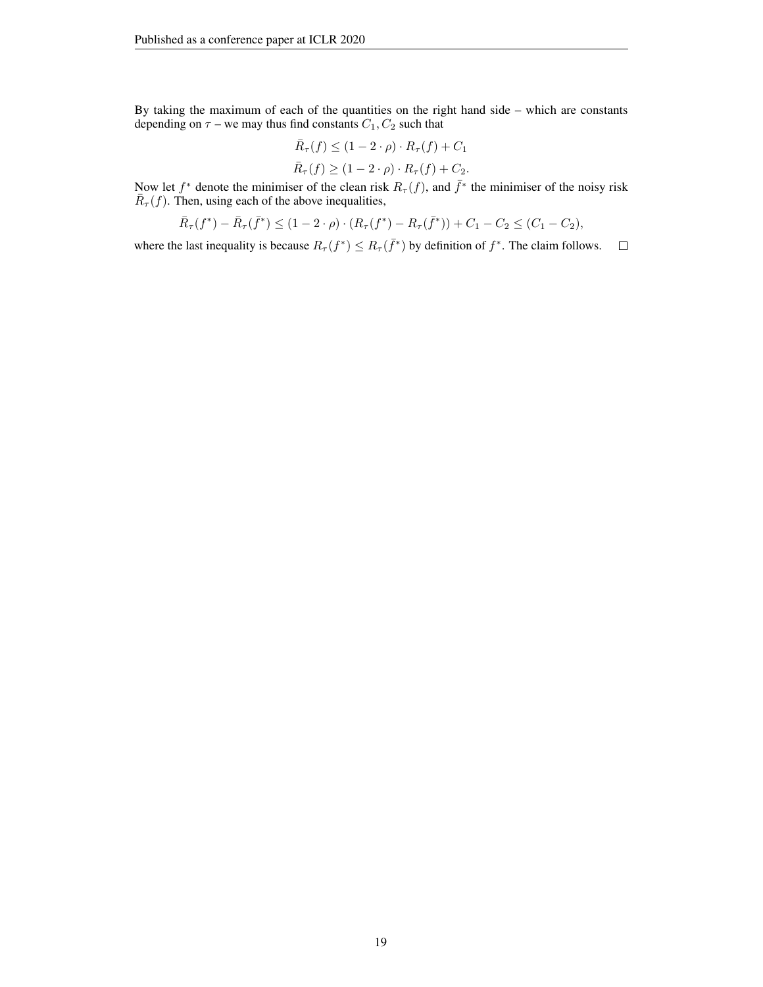By taking the maximum of each of the quantities on the right hand side – which are constants depending on  $\tau$  – we may thus find constants  $C_1, C_2$  such that

$$
\bar{R}_{\tau}(f) \le (1 - 2 \cdot \rho) \cdot R_{\tau}(f) + C_1
$$
  

$$
\bar{R}_{\tau}(f) \ge (1 - 2 \cdot \rho) \cdot R_{\tau}(f) + C_2.
$$

Now let  $f^*$  denote the minimiser of the clean risk  $R_\tau(f)$ , and  $\bar{f}^*$  the minimiser of the noisy risk  $\overline{R}_{\tau}(f)$ . Then, using each of the above inequalities,

$$
\bar{R}_{\tau}(f^*) - \bar{R}_{\tau}(\bar{f}^*) \le (1 - 2 \cdot \rho) \cdot (R_{\tau}(f^*) - R_{\tau}(\bar{f}^*)) + C_1 - C_2 \le (C_1 - C_2),
$$

where the last inequality is because  $R_{\tau}(f^*) \leq R_{\tau}(\bar{f}^*)$  by definition of  $f^*$ . The claim follows.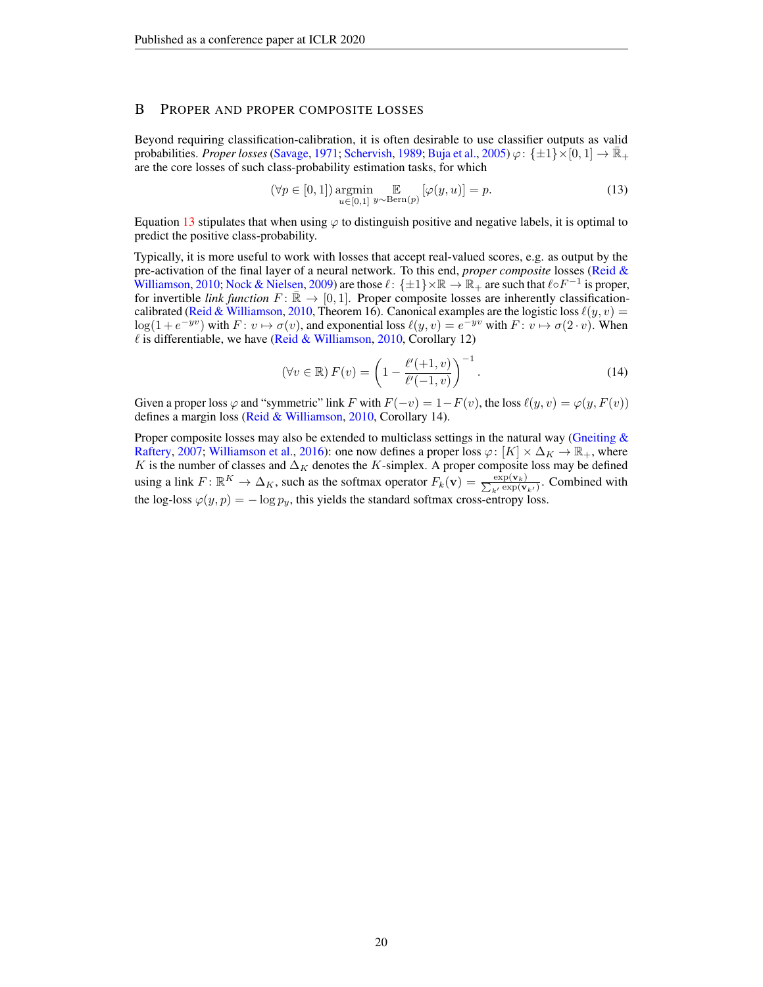### <span id="page-19-0"></span>B PROPER AND PROPER COMPOSITE LOSSES

Beyond requiring classification-calibration, it is often desirable to use classifier outputs as valid probabilities. *Proper losses* [\(Savage,](#page-12-16) [1971;](#page-12-16) [Schervish,](#page-12-17) [1989;](#page-12-17) [Buja et al.,](#page-9-17) [2005\)](#page-9-17)  $\varphi$ : { $\pm 1$ }  $\times$  [0, 1]  $\rightarrow \mathbb{R}$  + are the core losses of such class-probability estimation tasks, for which

<span id="page-19-1"></span>
$$
(\forall p \in [0,1]) \underset{u \in [0,1]}{\operatorname{argmin}} \mathbb{E} \left[ \varphi(y,u) \right] = p. \tag{13}
$$

Equation [13](#page-19-1) stipulates that when using  $\varphi$  to distinguish positive and negative labels, it is optimal to predict the positive class-probability.

Typically, it is more useful to work with losses that accept real-valued scores, e.g. as output by the pre-activation of the final layer of a neural network. To this end, *proper composite* losses [\(Reid &](#page-12-6) [Williamson,](#page-12-6) [2010;](#page-12-6) [Nock & Nielsen,](#page-11-6) [2009\)](#page-11-6) are those  $\ell$ :  $\{\pm 1\} \times \mathbb{R} \to \mathbb{R}_+$  are such that  $\ell \circ F^{-1}$  is proper, for invertible *link function*  $F: \mathbb{R} \to [0, 1]$ . Proper composite losses are inherently classification-calibrated [\(Reid & Williamson,](#page-12-6) [2010,](#page-12-6) Theorem 16). Canonical examples are the logistic loss  $\ell(y, v)$  =  $\log(1 + e^{-yv})$  with  $F: v \mapsto \sigma(v)$ , and exponential loss  $\ell(y, v) = e^{-yv}$  with  $F: v \mapsto \sigma(2 \cdot v)$ . When  $\ell$  is differentiable, we have [\(Reid & Williamson,](#page-12-6) [2010,](#page-12-6) Corollary 12)

$$
\left(\forall v \in \mathbb{R}\right) F(v) = \left(1 - \frac{\ell'(+1, v)}{\ell'(-1, v)}\right)^{-1}.\tag{14}
$$

Given a proper loss  $\varphi$  and "symmetric" link F with  $F(-v) = 1 - F(v)$ , the loss  $\ell(y, v) = \varphi(y, F(v))$ defines a margin loss [\(Reid & Williamson,](#page-12-6) [2010,](#page-12-6) Corollary 14).

Proper composite losses may also be extended to multiclass settings in the natural way (Gneiting  $\&$ [Raftery,](#page-10-18) [2007;](#page-10-18) [Williamson et al.,](#page-13-14) [2016\)](#page-13-14): one now defines a proper loss  $\varphi: [K] \times \Delta_K \to \mathbb{R}_+$ , where K is the number of classes and  $\Delta_K$  denotes the K-simplex. A proper composite loss may be defined using a link  $F: \mathbb{R}^K \to \Delta_K$ , such as the softmax operator  $F_k(\mathbf{v}) = \frac{\exp(\mathbf{v}_k)}{\sum_{k'} \exp(\mathbf{v})}$  $\frac{\exp(\mathbf{v}_k)}{k\exp(\mathbf{v}_{k'})}$ . Combined with the log-loss  $\varphi(y, p) = -\log p_y$ , this yields the standard softmax cross-entropy loss.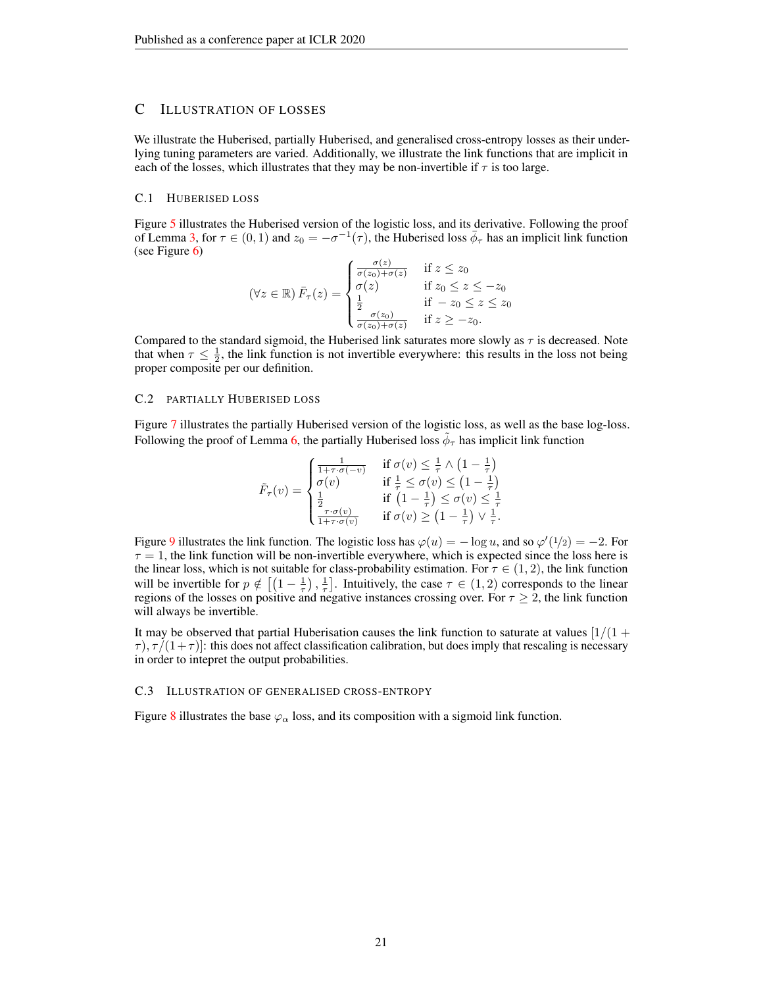### <span id="page-20-0"></span>C ILLUSTRATION OF LOSSES

We illustrate the Huberised, partially Huberised, and generalised cross-entropy losses as their underlying tuning parameters are varied. Additionally, we illustrate the link functions that are implicit in each of the losses, which illustrates that they may be non-invertible if  $\tau$  is too large.

#### C.1 HUBERISED LOSS

Figure [5](#page-21-0) illustrates the Huberised version of the logistic loss, and its derivative. Following the proof of Lemma [3,](#page-3-1) for  $\tau \in (0,1)$  and  $z_0 = -\sigma^{-1}(\tau)$ , the Huberised loss  $\bar{\phi}_{\tau}$  has an implicit link function (see Figure [6\)](#page-21-1)

$$
(\forall z \in \mathbb{R}) \bar{F}_{\tau}(z) = \begin{cases} \frac{\sigma(z)}{\sigma(z_0) + \sigma(z)} & \text{if } z \le z_0\\ \sigma(z) & \text{if } z_0 \le z \le -z_0\\ \frac{1}{2} & \text{if } -z_0 \le z \le z_0\\ \frac{\sigma(z_0)}{\sigma(z_0) + \sigma(z)} & \text{if } z \ge -z_0. \end{cases}
$$

Compared to the standard sigmoid, the Huberised link saturates more slowly as  $\tau$  is decreased. Note that when  $\tau \leq \frac{1}{2}$ , the link function is not invertible everywhere: this results in the loss not being proper composite per our definition.

#### C.2 PARTIALLY HUBERISED LOSS

Figure [7](#page-21-2) illustrates the partially Huberised version of the logistic loss, as well as the base log-loss. Following the proof of Lemma [6,](#page-5-0) the partially Huberised loss  $\tilde{\phi}_{\tau}$  has implicit link function

$$
\tilde{F}_{\tau}(v) = \begin{cases}\n\frac{1}{1+\tau \cdot \sigma(-v)} & \text{if } \sigma(v) \leq \frac{1}{\tau} \wedge (1 - \frac{1}{\tau}) \\
\sigma(v) & \text{if } \frac{1}{\tau} \leq \sigma(v) \leq (1 - \frac{1}{\tau}) \\
\frac{1}{2} & \text{if } (1 - \frac{1}{\tau}) \leq \sigma(v) \leq \frac{1}{\tau} \\
\frac{\tau \cdot \sigma(v)}{1+\tau \cdot \sigma(v)} & \text{if } \sigma(v) \geq (1 - \frac{1}{\tau}) \vee \frac{1}{\tau}.\n\end{cases}
$$

Figure [9](#page-22-0) illustrates the link function. The logistic loss has  $\varphi(u) = -\log u$ , and so  $\varphi'(1/2) = -2$ . For  $\tau = 1$ , the link function will be non-invertible everywhere, which is expected since the loss here is the linear loss, which is not suitable for class-probability estimation. For  $\tau \in (1, 2)$ , the link function will be invertible for  $p \notin \left[ \left(1 - \frac{1}{\tau}\right), \frac{1}{\tau} \right]$ . Intuitively, the case  $\tau \in (1, 2)$  corresponds to the linear regions of the losses on positive and negative instances crossing over. For  $\tau \geq 2$ , the link function will always be invertible.

It may be observed that partial Huberisation causes the link function to saturate at values  $\left[1/(1 + \frac{1}{2})\right]$  $\tau$ ),  $\tau/(1+\tau)$ : this does not affect classification calibration, but does imply that rescaling is necessary in order to intepret the output probabilities.

#### <span id="page-20-1"></span>C.3 ILLUSTRATION OF GENERALISED CROSS-ENTROPY

Figure [8](#page-22-1) illustrates the base  $\varphi_{\alpha}$  loss, and its composition with a sigmoid link function.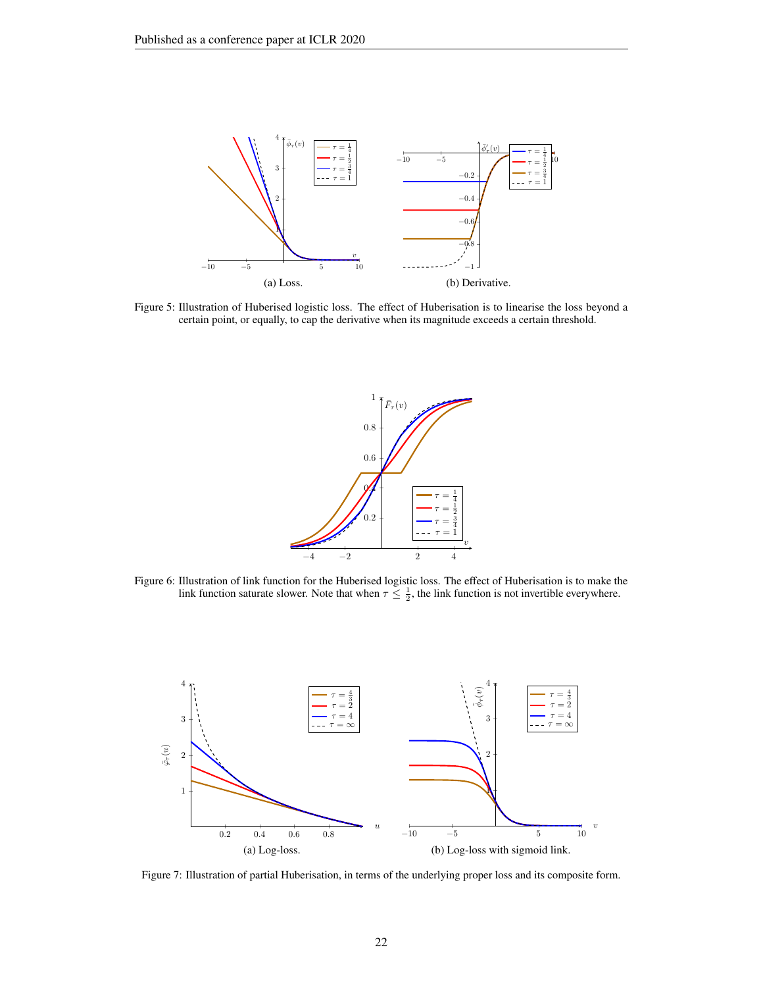<span id="page-21-0"></span>

<span id="page-21-1"></span>Figure 5: Illustration of Huberised logistic loss. The effect of Huberisation is to linearise the loss beyond a certain point, or equally, to cap the derivative when its magnitude exceeds a certain threshold.



Figure 6: Illustration of link function for the Huberised logistic loss. The effect of Huberisation is to make the link function saturate slower. Note that when  $\tau \leq \frac{1}{2}$ , the link function is not invertible everywhere.

<span id="page-21-2"></span>

Figure 7: Illustration of partial Huberisation, in terms of the underlying proper loss and its composite form.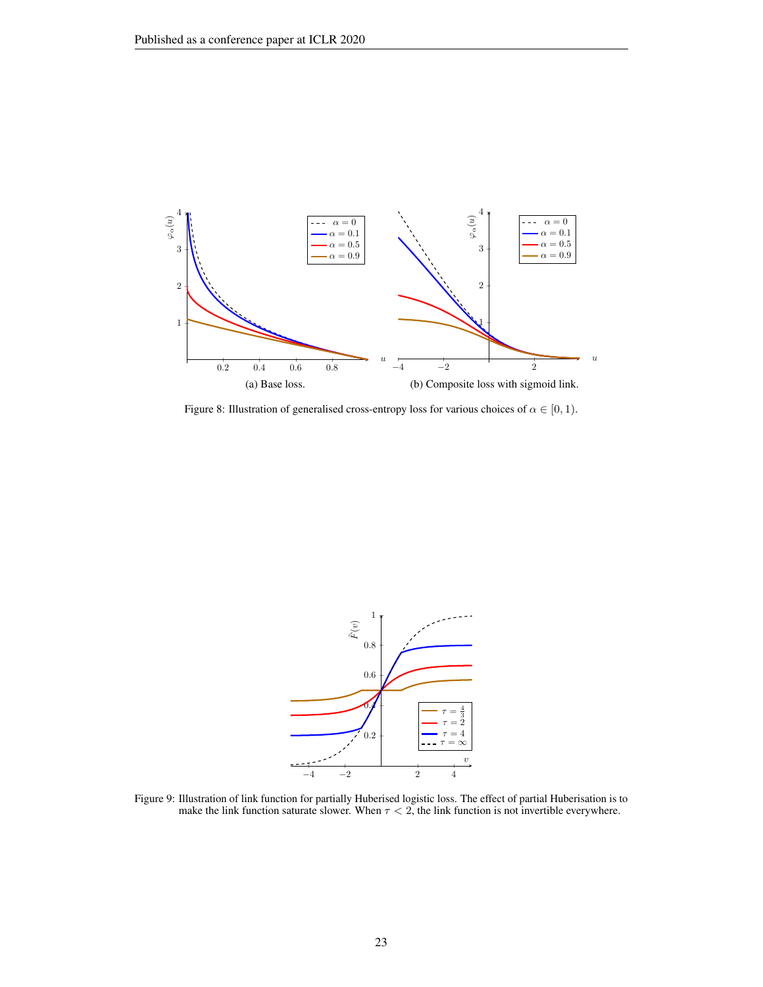<span id="page-22-1"></span>

Figure 8: Illustration of generalised cross-entropy loss for various choices of  $\alpha \in [0, 1)$ .

<span id="page-22-0"></span>

Figure 9: Illustration of link function for partially Huberised logistic loss. The effect of partial Huberisation is to make the link function saturate slower. When  $\tau < 2$ , the link function is not invertible everywhere.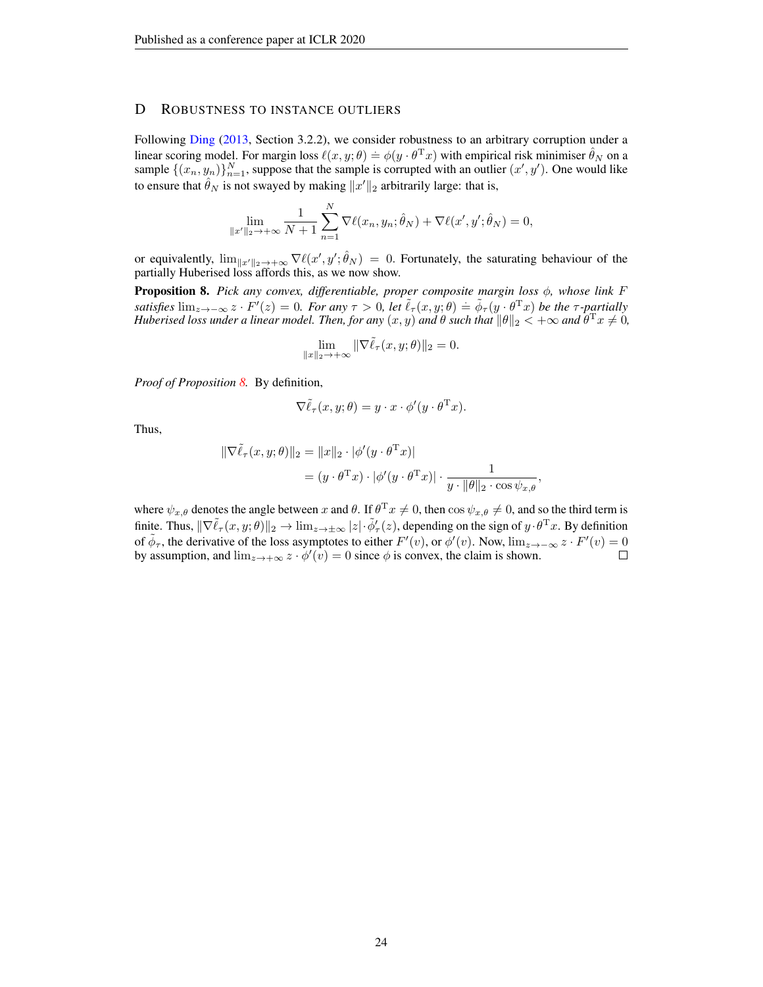### <span id="page-23-0"></span>D ROBUSTNESS TO INSTANCE OUTLIERS

Following [Ding](#page-9-15) [\(2013,](#page-9-15) Section 3.2.2), we consider robustness to an arbitrary corruption under a linear scoring model. For margin loss  $\ell(x, y; \theta) = \phi(y \cdot \theta^T x)$  with empirical risk minimiser  $\hat{\theta}_N$  on a sample  $\{(x_n, y_n)\}_{n=1}^N$ , suppose that the sample is corrupted with an outlier  $(x', y')$ . One would like to ensure that  $\hat{\theta}_N$  is not swayed by making  $||x'||_2$  arbitrarily large: that is,

$$
\lim_{\|x'\|_2 \to +\infty} \frac{1}{N+1} \sum_{n=1}^N \nabla \ell(x_n, y_n; \hat{\theta}_N) + \nabla \ell(x', y'; \hat{\theta}_N) = 0,
$$

or equivalently,  $\lim_{|x|\to\infty} \nabla \ell(x', y'; \hat{\theta}_N) = 0$ . Fortunately, the saturating behaviour of the partially Huberised loss affords this, as we now show.

<span id="page-23-1"></span>Proposition 8. *Pick any convex, differentiable, proper composite margin loss* φ*, whose link* F  $satisfies \lim_{z \to -\infty} z \cdot F'(z) = 0$ . For any  $\tau > 0$ , let  $\tilde{\ell}_{\tau}(x, y; \theta) = \tilde{\phi}_{\tau}(y \cdot \theta^T x)$  be the  $\tau$ -partially *Huberised loss under a linear model. Then, for any*  $(x, y)$  *and*  $\theta$  *such that*  $\|\theta\|_2 < +\infty$  *and*  $\theta^Tx \neq 0$ *,* 

$$
\lim_{\|x\|_2\to+\infty}\|\nabla\tilde{\ell}_\tau(x,y;\theta)\|_2=0.
$$

*Proof of Proposition [8.](#page-23-1)* By definition,

$$
\nabla \tilde{\ell}_{\tau}(x, y; \theta) = y \cdot x \cdot \phi'(y \cdot \theta^{\mathrm{T}} x).
$$

Thus,

$$
\begin{aligned} \|\nabla \tilde{\ell}_{\tau}(x, y; \theta)\|_{2} &= \|x\|_{2} \cdot |\phi'(y \cdot \theta^{\mathrm{T}} x)| \\ &= (y \cdot \theta^{\mathrm{T}} x) \cdot |\phi'(y \cdot \theta^{\mathrm{T}} x)| \cdot \frac{1}{y \cdot \|\theta\|_{2} \cdot \cos \psi_{x, \theta}}, \end{aligned}
$$

where  $\psi_{x,\theta}$  denotes the angle between x and  $\theta$ . If  $\theta^{\mathrm{T}} x \neq 0$ , then  $\cos \psi_{x,\theta} \neq 0$ , and so the third term is finite. Thus,  $\|\nabla \tilde{\ell}_{\tau}(x, y; \theta)\|_2 \to \lim_{z \to \pm \infty} |z| \cdot \tilde{\phi}'_{\tau}(z)$ , depending on the sign of  $y \cdot \theta^{\mathrm{T}} x$ . By definition of  $\tilde{\phi}_{\tau}$ , the derivative of the loss asymptotes to either  $F'(v)$ , or  $\phi'(v)$ . Now,  $\lim_{z\to-\infty} z \cdot F'(v) = 0$ by assumption, and  $\lim_{z\to+\infty} z \cdot \phi'(v) = 0$  since  $\phi$  is convex, the claim is shown.  $\Box$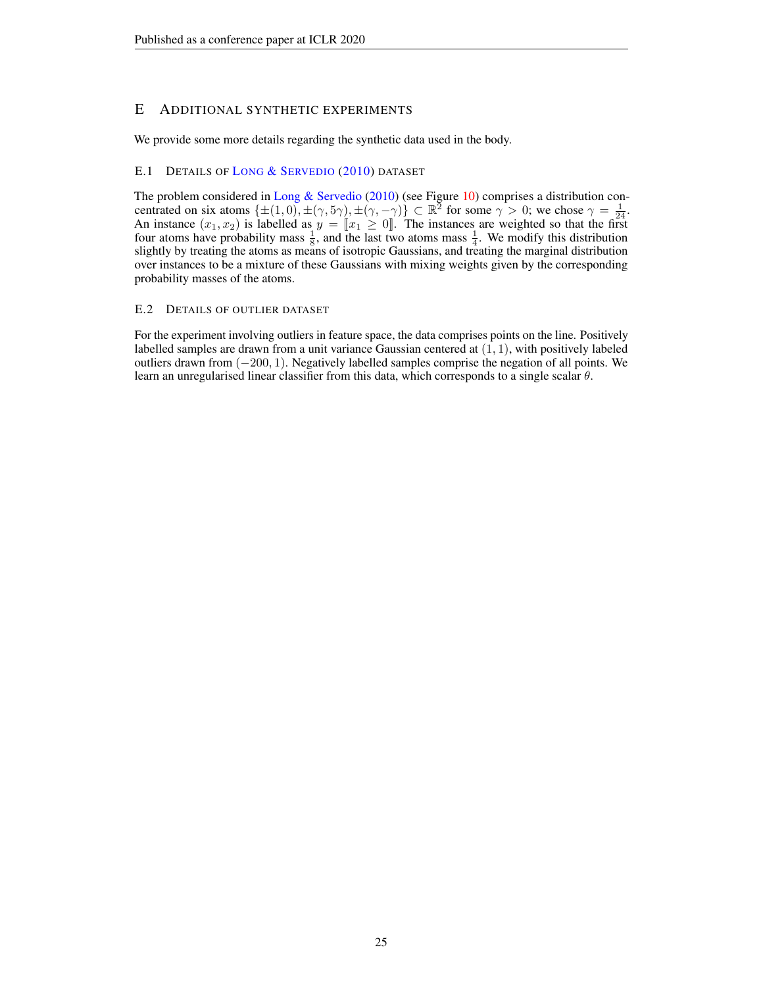# <span id="page-24-1"></span>E ADDITIONAL SYNTHETIC EXPERIMENTS

We provide some more details regarding the synthetic data used in the body.

### <span id="page-24-0"></span>E.1 DETAILS OF LONG & S[ERVEDIO](#page-11-9) [\(2010\)](#page-11-9) DATASET

The problem considered in [Long & Servedio](#page-11-9) [\(2010\)](#page-11-9) (see Figure [10\)](#page-25-0) comprises a distribution concentrated on six atoms  $\{\pm (1, 0), \pm (\gamma, 5\gamma), \pm (\gamma, -\gamma)\}\subset \mathbb{R}^2$  for some  $\gamma > 0$ ; we chose  $\gamma = \frac{1}{24}$ . An instance  $(x_1, x_2)$  is labelled as  $y = \llbracket x_1 \geq 0 \rrbracket$ . The instances are weighted so that the first four atoms have probability mass  $\frac{1}{2}$  and the last two atoms mass  $\frac{1}{2}$ . We modify this distribution four atoms have probability mass  $\frac{1}{8}$ , and the last two atoms mass  $\frac{1}{4}$ . We modify this distribution slightly by treating the atoms as means of isotropic Gaussians, and treating the marginal distribution over instances to be a mixture of these Gaussians with mixing weights given by the corresponding probability masses of the atoms.

### E.2 DETAILS OF OUTLIER DATASET

For the experiment involving outliers in feature space, the data comprises points on the line. Positively labelled samples are drawn from a unit variance Gaussian centered at  $(1, 1)$ , with positively labeled outliers drawn from (−200, 1). Negatively labelled samples comprise the negation of all points. We learn an unregularised linear classifier from this data, which corresponds to a single scalar θ.